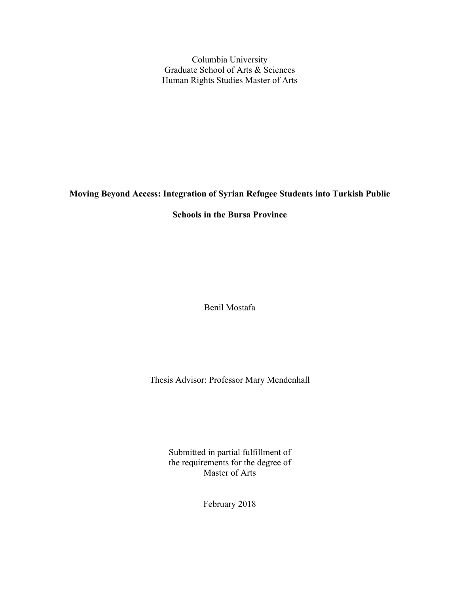Columbia University Graduate School of Arts & Sciences Human Rights Studies Master of Arts

# **Moving Beyond Access: Integration of Syrian Refugee Students into Turkish Public**

# **Schools in the Bursa Province**

Benil Mostafa

Thesis Advisor: Professor Mary Mendenhall

Submitted in partial fulfillment of the requirements for the degree of Master of Arts

February 2018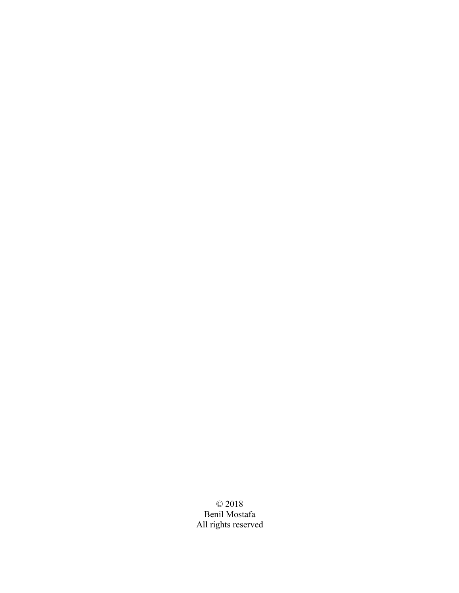© 2018 Benil Mostafa All rights reserved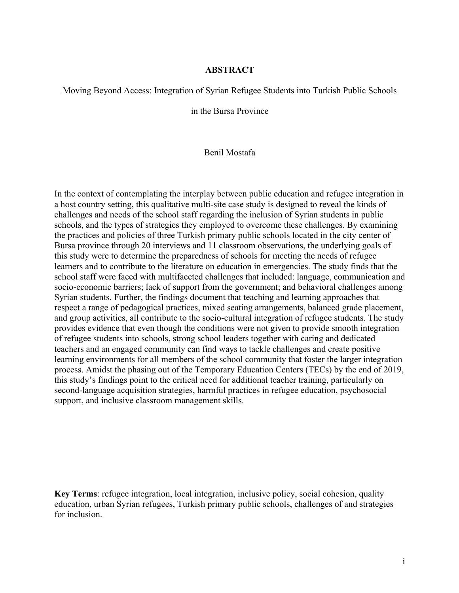# **ABSTRACT**

# Moving Beyond Access: Integration of Syrian Refugee Students into Turkish Public Schools

in the Bursa Province

# Benil Mostafa

In the context of contemplating the interplay between public education and refugee integration in a host country setting, this qualitative multi-site case study is designed to reveal the kinds of challenges and needs of the school staff regarding the inclusion of Syrian students in public schools, and the types of strategies they employed to overcome these challenges. By examining the practices and policies of three Turkish primary public schools located in the city center of Bursa province through 20 interviews and 11 classroom observations, the underlying goals of this study were to determine the preparedness of schools for meeting the needs of refugee learners and to contribute to the literature on education in emergencies. The study finds that the school staff were faced with multifaceted challenges that included: language, communication and socio-economic barriers; lack of support from the government; and behavioral challenges among Syrian students. Further, the findings document that teaching and learning approaches that respect a range of pedagogical practices, mixed seating arrangements, balanced grade placement, and group activities, all contribute to the socio-cultural integration of refugee students. The study provides evidence that even though the conditions were not given to provide smooth integration of refugee students into schools, strong school leaders together with caring and dedicated teachers and an engaged community can find ways to tackle challenges and create positive learning environments for all members of the school community that foster the larger integration process. Amidst the phasing out of the Temporary Education Centers (TECs) by the end of 2019, this study's findings point to the critical need for additional teacher training, particularly on second-language acquisition strategies, harmful practices in refugee education, psychosocial support, and inclusive classroom management skills.

**Key Terms**: refugee integration, local integration, inclusive policy, social cohesion, quality education, urban Syrian refugees, Turkish primary public schools, challenges of and strategies for inclusion.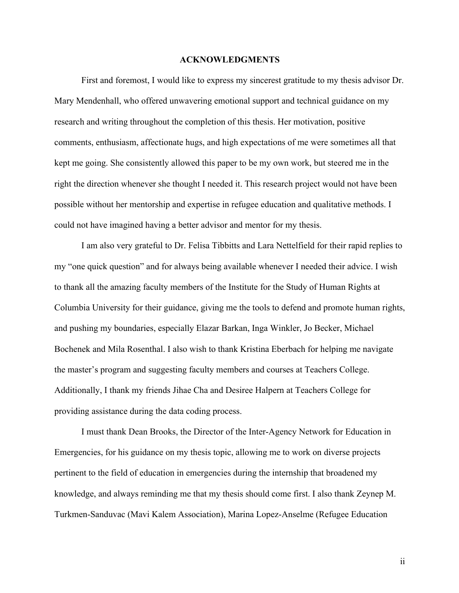#### **ACKNOWLEDGMENTS**

First and foremost, I would like to express my sincerest gratitude to my thesis advisor Dr. Mary Mendenhall, who offered unwavering emotional support and technical guidance on my research and writing throughout the completion of this thesis. Her motivation, positive comments, enthusiasm, affectionate hugs, and high expectations of me were sometimes all that kept me going. She consistently allowed this paper to be my own work, but steered me in the right the direction whenever she thought I needed it. This research project would not have been possible without her mentorship and expertise in refugee education and qualitative methods. I could not have imagined having a better advisor and mentor for my thesis.

I am also very grateful to Dr. Felisa Tibbitts and Lara Nettelfield for their rapid replies to my "one quick question" and for always being available whenever I needed their advice. I wish to thank all the amazing faculty members of the Institute for the Study of Human Rights at Columbia University for their guidance, giving me the tools to defend and promote human rights, and pushing my boundaries, especially Elazar Barkan, Inga Winkler, Jo Becker, Michael Bochenek and Mila Rosenthal. I also wish to thank Kristina Eberbach for helping me navigate the master's program and suggesting faculty members and courses at Teachers College. Additionally, I thank my friends Jihae Cha and Desiree Halpern at Teachers College for providing assistance during the data coding process.

I must thank Dean Brooks, the Director of the Inter-Agency Network for Education in Emergencies, for his guidance on my thesis topic, allowing me to work on diverse projects pertinent to the field of education in emergencies during the internship that broadened my knowledge, and always reminding me that my thesis should come first. I also thank Zeynep M. Turkmen-Sanduvac (Mavi Kalem Association), Marina Lopez-Anselme (Refugee Education

ii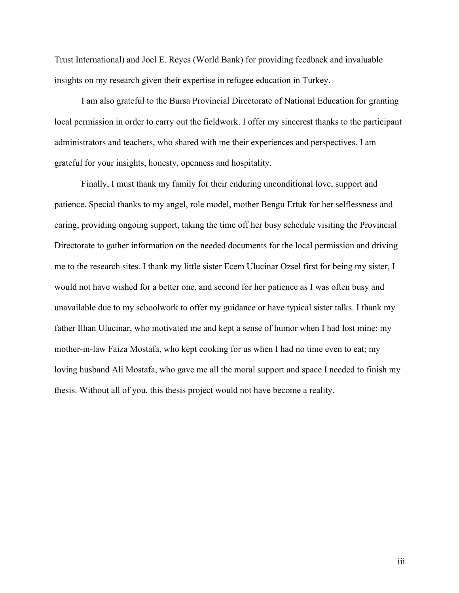Trust International) and Joel E. Reyes (World Bank) for providing feedback and invaluable insights on my research given their expertise in refugee education in Turkey.

I am also grateful to the Bursa Provincial Directorate of National Education for granting local permission in order to carry out the fieldwork. I offer my sincerest thanks to the participant administrators and teachers, who shared with me their experiences and perspectives. I am grateful for your insights, honesty, openness and hospitality.

Finally, I must thank my family for their enduring unconditional love, support and patience. Special thanks to my angel, role model, mother Bengu Ertuk for her selflessness and caring, providing ongoing support, taking the time off her busy schedule visiting the Provincial Directorate to gather information on the needed documents for the local permission and driving me to the research sites. I thank my little sister Ecem Ulucinar Ozsel first for being my sister, I would not have wished for a better one, and second for her patience as I was often busy and unavailable due to my schoolwork to offer my guidance or have typical sister talks. I thank my father Ilhan Ulucinar, who motivated me and kept a sense of humor when I had lost mine; my mother-in-law Faiza Mostafa, who kept cooking for us when I had no time even to eat; my loving husband Ali Mostafa, who gave me all the moral support and space I needed to finish my thesis. Without all of you, this thesis project would not have become a reality.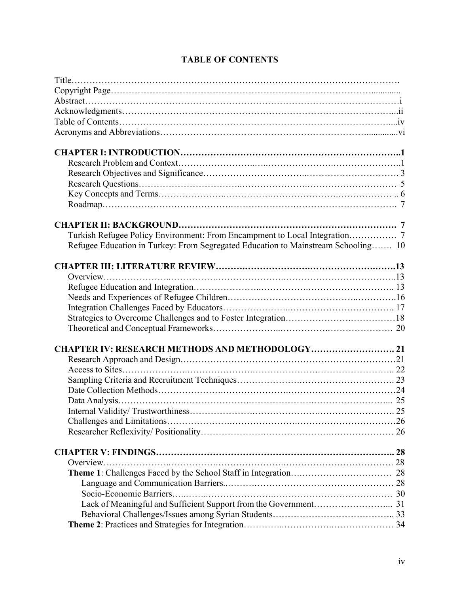| Refugee Education in Turkey: From Segregated Education to Mainstream Schooling 10 |  |
|-----------------------------------------------------------------------------------|--|
|                                                                                   |  |
|                                                                                   |  |
|                                                                                   |  |
|                                                                                   |  |
|                                                                                   |  |
|                                                                                   |  |
|                                                                                   |  |
|                                                                                   |  |
|                                                                                   |  |
| <b>CHAPTER IV: RESEARCH METHODS AND METHODOLOGY 21</b>                            |  |
|                                                                                   |  |
|                                                                                   |  |
|                                                                                   |  |
|                                                                                   |  |
|                                                                                   |  |
|                                                                                   |  |
|                                                                                   |  |
|                                                                                   |  |
|                                                                                   |  |
|                                                                                   |  |
|                                                                                   |  |
|                                                                                   |  |
|                                                                                   |  |
|                                                                                   |  |
|                                                                                   |  |
|                                                                                   |  |
|                                                                                   |  |

# **TABLE OF CONTENTS**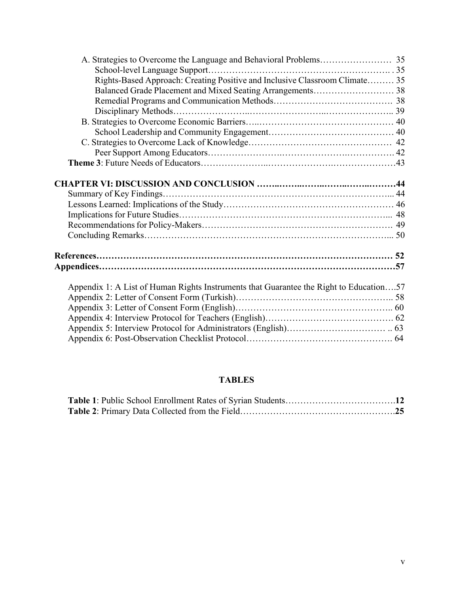| Rights-Based Approach: Creating Positive and Inclusive Classroom Climate 35            |  |
|----------------------------------------------------------------------------------------|--|
|                                                                                        |  |
|                                                                                        |  |
|                                                                                        |  |
|                                                                                        |  |
|                                                                                        |  |
|                                                                                        |  |
|                                                                                        |  |
|                                                                                        |  |
|                                                                                        |  |
|                                                                                        |  |
|                                                                                        |  |
|                                                                                        |  |
|                                                                                        |  |
|                                                                                        |  |
|                                                                                        |  |
|                                                                                        |  |
|                                                                                        |  |
|                                                                                        |  |
|                                                                                        |  |
| Appendix 1: A List of Human Rights Instruments that Guarantee the Right to Education57 |  |
|                                                                                        |  |
|                                                                                        |  |
|                                                                                        |  |
|                                                                                        |  |
|                                                                                        |  |
|                                                                                        |  |

# **TABLES**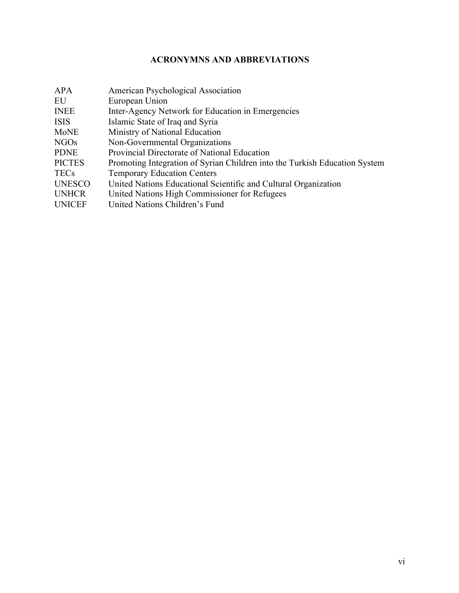# **ACRONYMNS AND ABBREVIATIONS**

| <b>APA</b>       | American Psychological Association                                         |
|------------------|----------------------------------------------------------------------------|
| EU               | European Union                                                             |
| <b>INEE</b>      | Inter-Agency Network for Education in Emergencies                          |
| <b>ISIS</b>      | Islamic State of Iraq and Syria                                            |
| <b>MoNE</b>      | Ministry of National Education                                             |
| NGO <sub>s</sub> | Non-Governmental Organizations                                             |
| <b>PDNE</b>      | Provincial Directorate of National Education                               |
| <b>PICTES</b>    | Promoting Integration of Syrian Children into the Turkish Education System |
| <b>TECs</b>      | <b>Temporary Education Centers</b>                                         |
| <b>UNESCO</b>    | United Nations Educational Scientific and Cultural Organization            |
| <b>UNHCR</b>     | United Nations High Commissioner for Refugees                              |
| <b>UNICEF</b>    | United Nations Children's Fund                                             |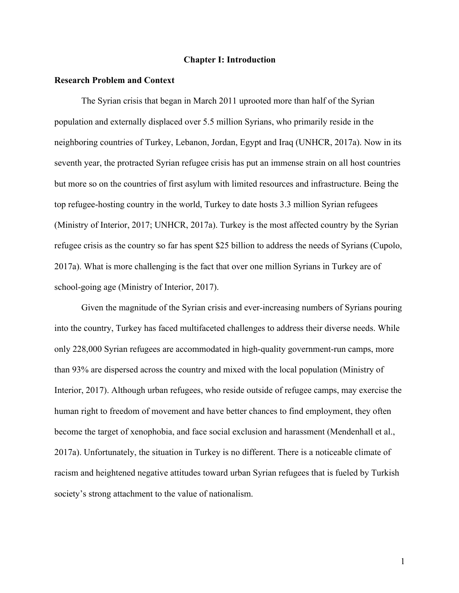## **Chapter I: Introduction**

#### **Research Problem and Context**

The Syrian crisis that began in March 2011 uprooted more than half of the Syrian population and externally displaced over 5.5 million Syrians, who primarily reside in the neighboring countries of Turkey, Lebanon, Jordan, Egypt and Iraq (UNHCR, 2017a). Now in its seventh year, the protracted Syrian refugee crisis has put an immense strain on all host countries but more so on the countries of first asylum with limited resources and infrastructure. Being the top refugee-hosting country in the world, Turkey to date hosts 3.3 million Syrian refugees (Ministry of Interior, 2017; UNHCR, 2017a). Turkey is the most affected country by the Syrian refugee crisis as the country so far has spent \$25 billion to address the needs of Syrians (Cupolo, 2017a). What is more challenging is the fact that over one million Syrians in Turkey are of school-going age (Ministry of Interior, 2017).

Given the magnitude of the Syrian crisis and ever-increasing numbers of Syrians pouring into the country, Turkey has faced multifaceted challenges to address their diverse needs. While only 228,000 Syrian refugees are accommodated in high-quality government-run camps, more than 93% are dispersed across the country and mixed with the local population (Ministry of Interior, 2017). Although urban refugees, who reside outside of refugee camps, may exercise the human right to freedom of movement and have better chances to find employment, they often become the target of xenophobia, and face social exclusion and harassment (Mendenhall et al., 2017a). Unfortunately, the situation in Turkey is no different. There is a noticeable climate of racism and heightened negative attitudes toward urban Syrian refugees that is fueled by Turkish society's strong attachment to the value of nationalism.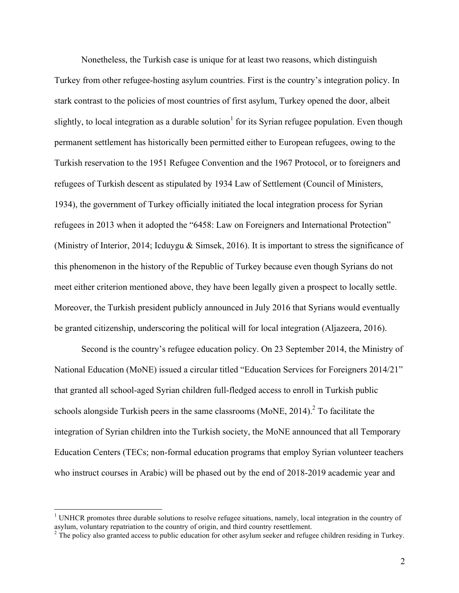Nonetheless, the Turkish case is unique for at least two reasons, which distinguish Turkey from other refugee-hosting asylum countries. First is the country's integration policy. In stark contrast to the policies of most countries of first asylum, Turkey opened the door, albeit slightly, to local integration as a durable solution<sup>1</sup> for its Syrian refugee population. Even though permanent settlement has historically been permitted either to European refugees, owing to the Turkish reservation to the 1951 Refugee Convention and the 1967 Protocol, or to foreigners and refugees of Turkish descent as stipulated by 1934 Law of Settlement (Council of Ministers, 1934), the government of Turkey officially initiated the local integration process for Syrian refugees in 2013 when it adopted the "6458: Law on Foreigners and International Protection" (Ministry of Interior, 2014; Icduygu & Simsek, 2016). It is important to stress the significance of this phenomenon in the history of the Republic of Turkey because even though Syrians do not meet either criterion mentioned above, they have been legally given a prospect to locally settle. Moreover, the Turkish president publicly announced in July 2016 that Syrians would eventually be granted citizenship, underscoring the political will for local integration (Aljazeera, 2016).

Second is the country's refugee education policy. On 23 September 2014, the Ministry of National Education (MoNE) issued a circular titled "Education Services for Foreigners 2014/21" that granted all school-aged Syrian children full-fledged access to enroll in Turkish public schools alongside Turkish peers in the same classrooms (MoNE, 2014).<sup>2</sup> To facilitate the integration of Syrian children into the Turkish society, the MoNE announced that all Temporary Education Centers (TECs; non-formal education programs that employ Syrian volunteer teachers who instruct courses in Arabic) will be phased out by the end of 2018-2019 academic year and

 $1$  UNHCR promotes three durable solutions to resolve refugee situations, namely, local integration in the country of asylum, voluntary repatriation to the country of origin, and third country resettlement.<br><sup>2</sup> The policy also granted access to public education for other asylum seeker and refugee children residing in Turkey.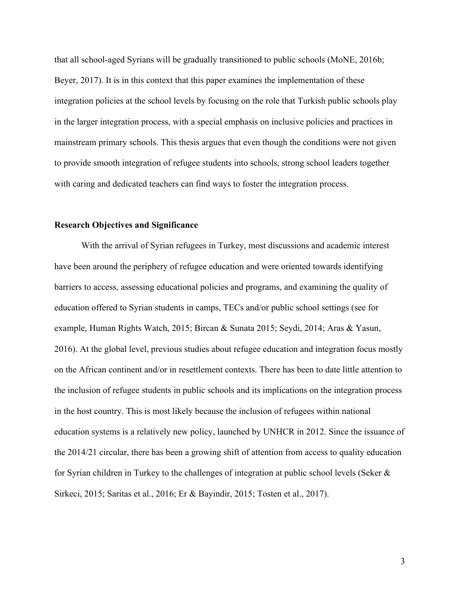that all school-aged Syrians will be gradually transitioned to public schools (MoNE, 2016b; Beyer, 2017). It is in this context that this paper examines the implementation of these integration policies at the school levels by focusing on the role that Turkish public schools play in the larger integration process, with a special emphasis on inclusive policies and practices in mainstream primary schools. This thesis argues that even though the conditions were not given to provide smooth integration of refugee students into schools, strong school leaders together with caring and dedicated teachers can find ways to foster the integration process.

### **Research Objectives and Significance**

With the arrival of Syrian refugees in Turkey, most discussions and academic interest have been around the periphery of refugee education and were oriented towards identifying barriers to access, assessing educational policies and programs, and examining the quality of education offered to Syrian students in camps, TECs and/or public school settings (see for example, Human Rights Watch, 2015; Bircan & Sunata 2015; Seydi, 2014; Aras & Yasun, 2016). At the global level, previous studies about refugee education and integration focus mostly on the African continent and/or in resettlement contexts. There has been to date little attention to the inclusion of refugee students in public schools and its implications on the integration process in the host country. This is most likely because the inclusion of refugees within national education systems is a relatively new policy, launched by UNHCR in 2012. Since the issuance of the 2014/21 circular, there has been a growing shift of attention from access to quality education for Syrian children in Turkey to the challenges of integration at public school levels (Seker & Sirkeci, 2015; Saritas et al., 2016; Er & Bayindir, 2015; Tosten et al., 2017).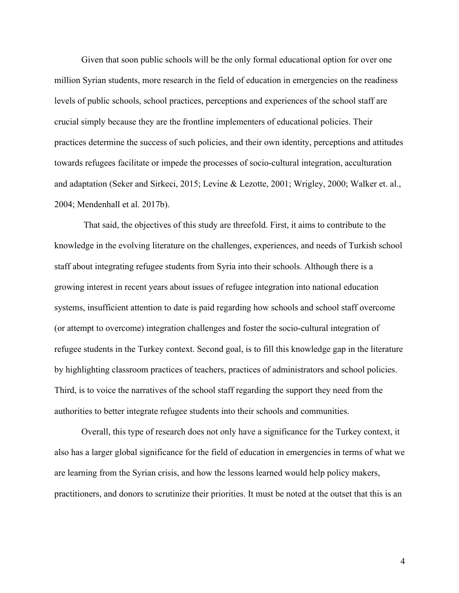Given that soon public schools will be the only formal educational option for over one million Syrian students, more research in the field of education in emergencies on the readiness levels of public schools, school practices, perceptions and experiences of the school staff are crucial simply because they are the frontline implementers of educational policies. Their practices determine the success of such policies, and their own identity, perceptions and attitudes towards refugees facilitate or impede the processes of socio-cultural integration, acculturation and adaptation (Seker and Sirkeci, 2015; Levine & Lezotte, 2001; Wrigley, 2000; Walker et. al., 2004; Mendenhall et al. 2017b).

That said, the objectives of this study are threefold. First, it aims to contribute to the knowledge in the evolving literature on the challenges, experiences, and needs of Turkish school staff about integrating refugee students from Syria into their schools. Although there is a growing interest in recent years about issues of refugee integration into national education systems, insufficient attention to date is paid regarding how schools and school staff overcome (or attempt to overcome) integration challenges and foster the socio-cultural integration of refugee students in the Turkey context. Second goal, is to fill this knowledge gap in the literature by highlighting classroom practices of teachers, practices of administrators and school policies. Third, is to voice the narratives of the school staff regarding the support they need from the authorities to better integrate refugee students into their schools and communities.

Overall, this type of research does not only have a significance for the Turkey context, it also has a larger global significance for the field of education in emergencies in terms of what we are learning from the Syrian crisis, and how the lessons learned would help policy makers, practitioners, and donors to scrutinize their priorities. It must be noted at the outset that this is an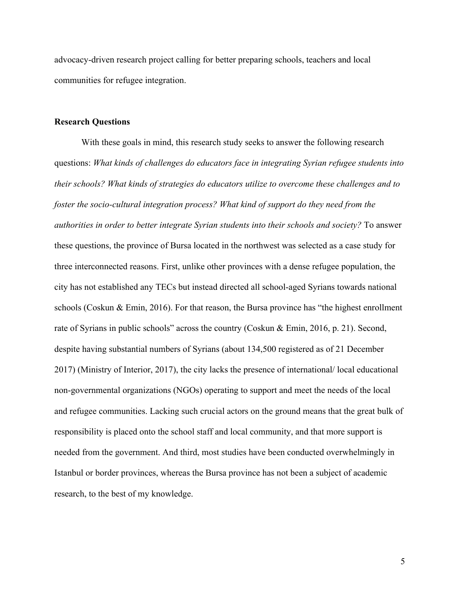advocacy-driven research project calling for better preparing schools, teachers and local communities for refugee integration.

## **Research Questions**

With these goals in mind, this research study seeks to answer the following research questions: *What kinds of challenges do educators face in integrating Syrian refugee students into their schools? What kinds of strategies do educators utilize to overcome these challenges and to foster the socio-cultural integration process? What kind of support do they need from the authorities in order to better integrate Syrian students into their schools and society?* To answer these questions, the province of Bursa located in the northwest was selected as a case study for three interconnected reasons. First, unlike other provinces with a dense refugee population, the city has not established any TECs but instead directed all school-aged Syrians towards national schools (Coskun & Emin, 2016). For that reason, the Bursa province has "the highest enrollment rate of Syrians in public schools" across the country (Coskun & Emin, 2016, p. 21). Second, despite having substantial numbers of Syrians (about 134,500 registered as of 21 December 2017) (Ministry of Interior, 2017), the city lacks the presence of international/ local educational non-governmental organizations (NGOs) operating to support and meet the needs of the local and refugee communities. Lacking such crucial actors on the ground means that the great bulk of responsibility is placed onto the school staff and local community, and that more support is needed from the government. And third, most studies have been conducted overwhelmingly in Istanbul or border provinces, whereas the Bursa province has not been a subject of academic research, to the best of my knowledge.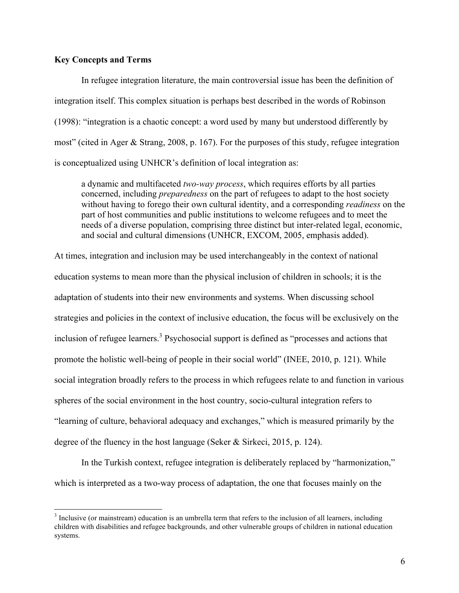# **Key Concepts and Terms**

In refugee integration literature, the main controversial issue has been the definition of integration itself. This complex situation is perhaps best described in the words of Robinson (1998): "integration is a chaotic concept: a word used by many but understood differently by most" (cited in Ager & Strang, 2008, p. 167). For the purposes of this study, refugee integration is conceptualized using UNHCR's definition of local integration as:

a dynamic and multifaceted *two-way process*, which requires efforts by all parties concerned, including *preparedness* on the part of refugees to adapt to the host society without having to forego their own cultural identity, and a corresponding *readiness* on the part of host communities and public institutions to welcome refugees and to meet the needs of a diverse population, comprising three distinct but inter-related legal, economic, and social and cultural dimensions (UNHCR, EXCOM, 2005, emphasis added).

At times, integration and inclusion may be used interchangeably in the context of national education systems to mean more than the physical inclusion of children in schools; it is the adaptation of students into their new environments and systems. When discussing school strategies and policies in the context of inclusive education, the focus will be exclusively on the inclusion of refugee learners.<sup>3</sup> Psychosocial support is defined as "processes and actions that promote the holistic well-being of people in their social world" (INEE, 2010, p. 121). While social integration broadly refers to the process in which refugees relate to and function in various spheres of the social environment in the host country, socio-cultural integration refers to "learning of culture, behavioral adequacy and exchanges," which is measured primarily by the degree of the fluency in the host language (Seker & Sirkeci, 2015, p. 124).

In the Turkish context, refugee integration is deliberately replaced by "harmonization," which is interpreted as a two-way process of adaptation, the one that focuses mainly on the

<sup>&</sup>lt;sup>3</sup> Inclusive (or mainstream) education is an umbrella term that refers to the inclusion of all learners, including children with disabilities and refugee backgrounds, and other vulnerable groups of children in national education systems.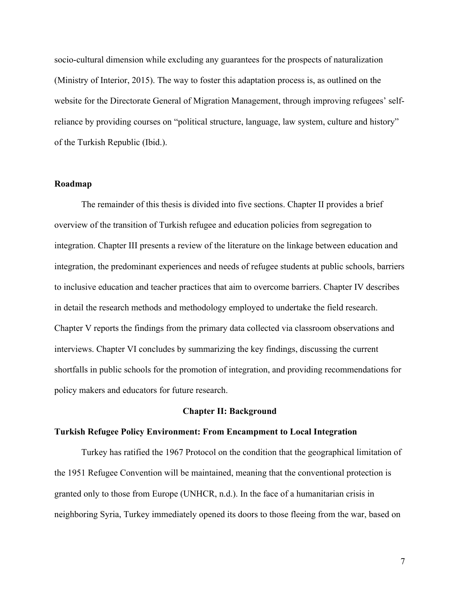socio-cultural dimension while excluding any guarantees for the prospects of naturalization (Ministry of Interior, 2015). The way to foster this adaptation process is, as outlined on the website for the Directorate General of Migration Management, through improving refugees' selfreliance by providing courses on "political structure, language, law system, culture and history" of the Turkish Republic (Ibid.).

#### **Roadmap**

The remainder of this thesis is divided into five sections. Chapter II provides a brief overview of the transition of Turkish refugee and education policies from segregation to integration. Chapter III presents a review of the literature on the linkage between education and integration, the predominant experiences and needs of refugee students at public schools, barriers to inclusive education and teacher practices that aim to overcome barriers. Chapter IV describes in detail the research methods and methodology employed to undertake the field research. Chapter V reports the findings from the primary data collected via classroom observations and interviews. Chapter VI concludes by summarizing the key findings, discussing the current shortfalls in public schools for the promotion of integration, and providing recommendations for policy makers and educators for future research.

#### **Chapter II: Background**

#### **Turkish Refugee Policy Environment: From Encampment to Local Integration**

Turkey has ratified the 1967 Protocol on the condition that the geographical limitation of the 1951 Refugee Convention will be maintained, meaning that the conventional protection is granted only to those from Europe (UNHCR, n.d.). In the face of a humanitarian crisis in neighboring Syria, Turkey immediately opened its doors to those fleeing from the war, based on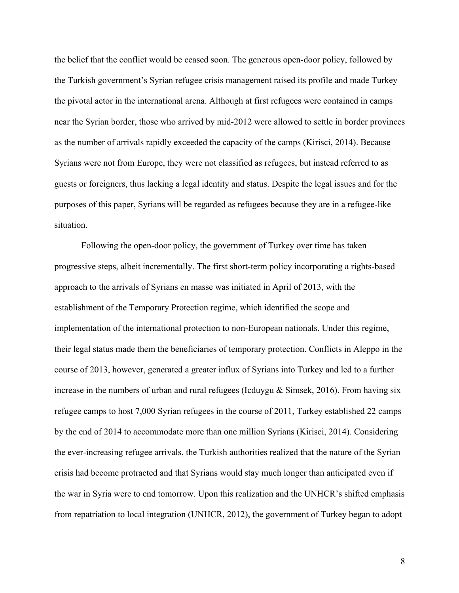the belief that the conflict would be ceased soon. The generous open-door policy, followed by the Turkish government's Syrian refugee crisis management raised its profile and made Turkey the pivotal actor in the international arena. Although at first refugees were contained in camps near the Syrian border, those who arrived by mid-2012 were allowed to settle in border provinces as the number of arrivals rapidly exceeded the capacity of the camps (Kirisci, 2014). Because Syrians were not from Europe, they were not classified as refugees, but instead referred to as guests or foreigners, thus lacking a legal identity and status. Despite the legal issues and for the purposes of this paper, Syrians will be regarded as refugees because they are in a refugee-like situation.

Following the open-door policy, the government of Turkey over time has taken progressive steps, albeit incrementally. The first short-term policy incorporating a rights-based approach to the arrivals of Syrians en masse was initiated in April of 2013, with the establishment of the Temporary Protection regime, which identified the scope and implementation of the international protection to non-European nationals. Under this regime, their legal status made them the beneficiaries of temporary protection. Conflicts in Aleppo in the course of 2013, however, generated a greater influx of Syrians into Turkey and led to a further increase in the numbers of urban and rural refugees (Icduygu  $&$  Simsek, 2016). From having six refugee camps to host 7,000 Syrian refugees in the course of 2011, Turkey established 22 camps by the end of 2014 to accommodate more than one million Syrians (Kirisci, 2014). Considering the ever-increasing refugee arrivals, the Turkish authorities realized that the nature of the Syrian crisis had become protracted and that Syrians would stay much longer than anticipated even if the war in Syria were to end tomorrow. Upon this realization and the UNHCR's shifted emphasis from repatriation to local integration (UNHCR, 2012), the government of Turkey began to adopt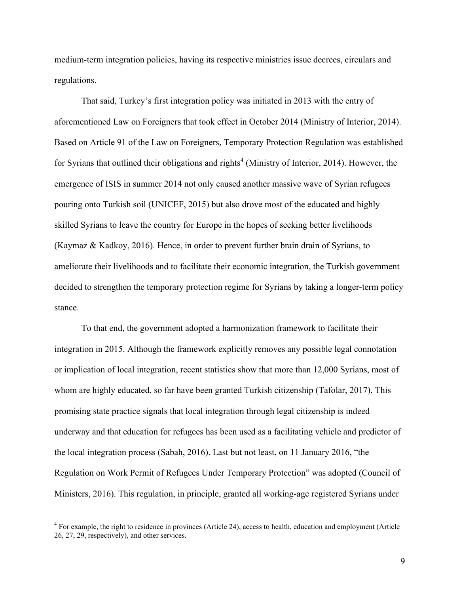medium-term integration policies, having its respective ministries issue decrees, circulars and regulations.

That said, Turkey's first integration policy was initiated in 2013 with the entry of aforementioned Law on Foreigners that took effect in October 2014 (Ministry of Interior, 2014). Based on Article 91 of the Law on Foreigners, Temporary Protection Regulation was established for Syrians that outlined their obligations and rights<sup>4</sup> (Ministry of Interior, 2014). However, the emergence of ISIS in summer 2014 not only caused another massive wave of Syrian refugees pouring onto Turkish soil (UNICEF, 2015) but also drove most of the educated and highly skilled Syrians to leave the country for Europe in the hopes of seeking better livelihoods (Kaymaz & Kadkoy, 2016). Hence, in order to prevent further brain drain of Syrians, to ameliorate their livelihoods and to facilitate their economic integration, the Turkish government decided to strengthen the temporary protection regime for Syrians by taking a longer-term policy stance.

To that end, the government adopted a harmonization framework to facilitate their integration in 2015. Although the framework explicitly removes any possible legal connotation or implication of local integration, recent statistics show that more than 12,000 Syrians, most of whom are highly educated, so far have been granted Turkish citizenship (Tafolar, 2017). This promising state practice signals that local integration through legal citizenship is indeed underway and that education for refugees has been used as a facilitating vehicle and predictor of the local integration process (Sabah, 2016). Last but not least, on 11 January 2016, "the Regulation on Work Permit of Refugees Under Temporary Protection" was adopted (Council of Ministers, 2016). This regulation, in principle, granted all working-age registered Syrians under

<sup>&</sup>lt;sup>4</sup> For example, the right to residence in provinces (Article 24), access to health, education and employment (Article 26, 27, 29, respectively), and other services.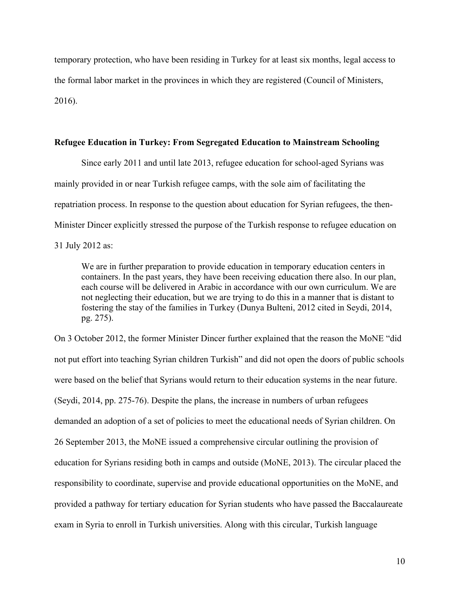temporary protection, who have been residing in Turkey for at least six months, legal access to the formal labor market in the provinces in which they are registered (Council of Ministers, 2016).

## **Refugee Education in Turkey: From Segregated Education to Mainstream Schooling**

Since early 2011 and until late 2013, refugee education for school-aged Syrians was mainly provided in or near Turkish refugee camps, with the sole aim of facilitating the repatriation process. In response to the question about education for Syrian refugees, the then-Minister Dincer explicitly stressed the purpose of the Turkish response to refugee education on 31 July 2012 as:

We are in further preparation to provide education in temporary education centers in containers. In the past years, they have been receiving education there also. In our plan, each course will be delivered in Arabic in accordance with our own curriculum. We are not neglecting their education, but we are trying to do this in a manner that is distant to fostering the stay of the families in Turkey (Dunya Bulteni, 2012 cited in Seydi, 2014, pg. 275).

On 3 October 2012, the former Minister Dincer further explained that the reason the MoNE "did not put effort into teaching Syrian children Turkish" and did not open the doors of public schools were based on the belief that Syrians would return to their education systems in the near future. (Seydi, 2014, pp. 275-76). Despite the plans, the increase in numbers of urban refugees demanded an adoption of a set of policies to meet the educational needs of Syrian children. On 26 September 2013, the MoNE issued a comprehensive circular outlining the provision of education for Syrians residing both in camps and outside (MoNE, 2013). The circular placed the responsibility to coordinate, supervise and provide educational opportunities on the MoNE, and provided a pathway for tertiary education for Syrian students who have passed the Baccalaureate exam in Syria to enroll in Turkish universities. Along with this circular, Turkish language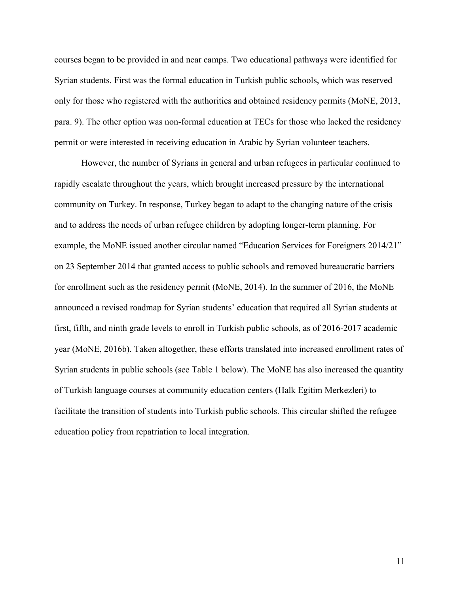courses began to be provided in and near camps. Two educational pathways were identified for Syrian students. First was the formal education in Turkish public schools, which was reserved only for those who registered with the authorities and obtained residency permits (MoNE, 2013, para. 9). The other option was non-formal education at TECs for those who lacked the residency permit or were interested in receiving education in Arabic by Syrian volunteer teachers.

However, the number of Syrians in general and urban refugees in particular continued to rapidly escalate throughout the years, which brought increased pressure by the international community on Turkey. In response, Turkey began to adapt to the changing nature of the crisis and to address the needs of urban refugee children by adopting longer-term planning. For example, the MoNE issued another circular named "Education Services for Foreigners 2014/21" on 23 September 2014 that granted access to public schools and removed bureaucratic barriers for enrollment such as the residency permit (MoNE, 2014). In the summer of 2016, the MoNE announced a revised roadmap for Syrian students' education that required all Syrian students at first, fifth, and ninth grade levels to enroll in Turkish public schools, as of 2016-2017 academic year (MoNE, 2016b). Taken altogether, these efforts translated into increased enrollment rates of Syrian students in public schools (see Table 1 below). The MoNE has also increased the quantity of Turkish language courses at community education centers (Halk Egitim Merkezleri) to facilitate the transition of students into Turkish public schools. This circular shifted the refugee education policy from repatriation to local integration.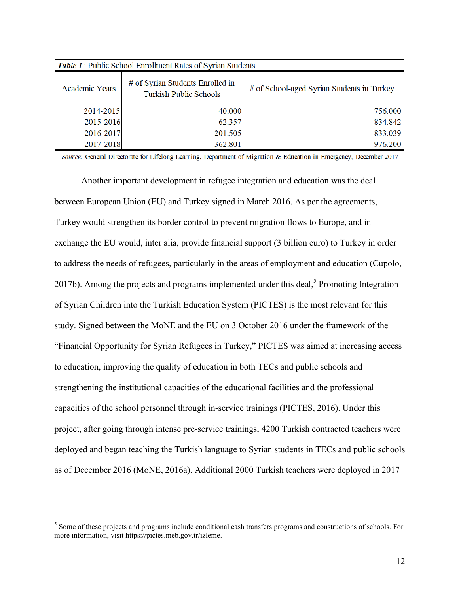| <b>Table 1:</b> Public School Enrollment Rates of Syrian Students |                                                                   |                                            |  |  |  |
|-------------------------------------------------------------------|-------------------------------------------------------------------|--------------------------------------------|--|--|--|
| <b>Academic Years</b>                                             | # of Syrian Students Enrolled in<br><b>Turkish Public Schools</b> | # of School-aged Syrian Students in Turkey |  |  |  |
| 2014-2015                                                         | 40.000                                                            | 756.000                                    |  |  |  |
| 2015-2016                                                         | 62.357                                                            | 834.842                                    |  |  |  |
| 2016-2017                                                         | 201.505                                                           | 833.039                                    |  |  |  |
| 2017-2018                                                         | 362.801                                                           | 976.200                                    |  |  |  |

Source: General Directorate for Lifelong Learning, Department of Migration & Education in Emergency, December 2017

Another important development in refugee integration and education was the deal between European Union (EU) and Turkey signed in March 2016. As per the agreements, Turkey would strengthen its border control to prevent migration flows to Europe, and in exchange the EU would, inter alia, provide financial support (3 billion euro) to Turkey in order to address the needs of refugees, particularly in the areas of employment and education (Cupolo, 2017b). Among the projects and programs implemented under this deal,<sup>5</sup> Promoting Integration of Syrian Children into the Turkish Education System (PICTES) is the most relevant for this study. Signed between the MoNE and the EU on 3 October 2016 under the framework of the "Financial Opportunity for Syrian Refugees in Turkey," PICTES was aimed at increasing access to education, improving the quality of education in both TECs and public schools and strengthening the institutional capacities of the educational facilities and the professional capacities of the school personnel through in-service trainings (PICTES, 2016). Under this project, after going through intense pre-service trainings, 4200 Turkish contracted teachers were deployed and began teaching the Turkish language to Syrian students in TECs and public schools as of December 2016 (MoNE, 2016a). Additional 2000 Turkish teachers were deployed in 2017

<sup>&</sup>lt;sup>5</sup> Some of these projects and programs include conditional cash transfers programs and constructions of schools. For more information, visit https://pictes.meb.gov.tr/izleme.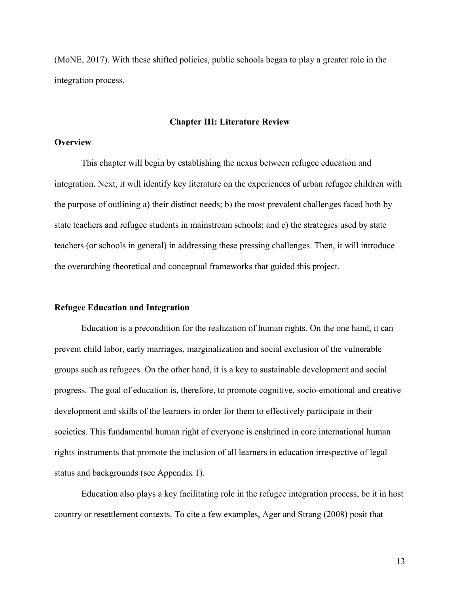(MoNE, 2017). With these shifted policies, public schools began to play a greater role in the integration process.

## **Chapter III: Literature Review**

#### **Overview**

This chapter will begin by establishing the nexus between refugee education and integration. Next, it will identify key literature on the experiences of urban refugee children with the purpose of outlining a) their distinct needs; b) the most prevalent challenges faced both by state teachers and refugee students in mainstream schools; and c) the strategies used by state teachers (or schools in general) in addressing these pressing challenges. Then, it will introduce the overarching theoretical and conceptual frameworks that guided this project.

## **Refugee Education and Integration**

Education is a precondition for the realization of human rights. On the one hand, it can prevent child labor, early marriages, marginalization and social exclusion of the vulnerable groups such as refugees. On the other hand, it is a key to sustainable development and social progress. The goal of education is, therefore, to promote cognitive, socio-emotional and creative development and skills of the learners in order for them to effectively participate in their societies. This fundamental human right of everyone is enshrined in core international human rights instruments that promote the inclusion of all learners in education irrespective of legal status and backgrounds (see Appendix 1).

Education also plays a key facilitating role in the refugee integration process, be it in host country or resettlement contexts. To cite a few examples, Ager and Strang (2008) posit that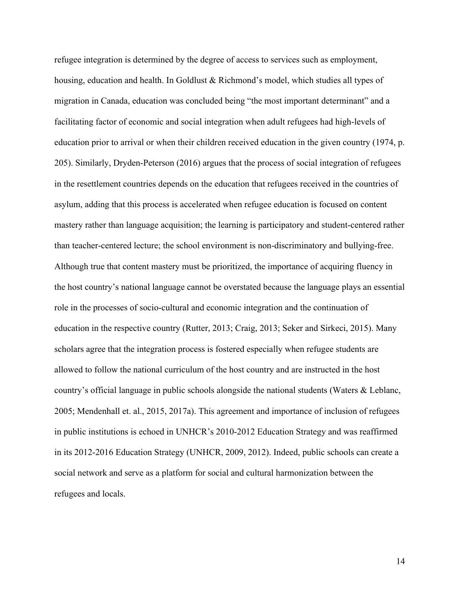refugee integration is determined by the degree of access to services such as employment, housing, education and health. In Goldlust & Richmond's model, which studies all types of migration in Canada, education was concluded being "the most important determinant" and a facilitating factor of economic and social integration when adult refugees had high-levels of education prior to arrival or when their children received education in the given country (1974, p. 205). Similarly, Dryden-Peterson (2016) argues that the process of social integration of refugees in the resettlement countries depends on the education that refugees received in the countries of asylum, adding that this process is accelerated when refugee education is focused on content mastery rather than language acquisition; the learning is participatory and student-centered rather than teacher-centered lecture; the school environment is non-discriminatory and bullying-free. Although true that content mastery must be prioritized, the importance of acquiring fluency in the host country's national language cannot be overstated because the language plays an essential role in the processes of socio-cultural and economic integration and the continuation of education in the respective country (Rutter, 2013; Craig, 2013; Seker and Sirkeci, 2015). Many scholars agree that the integration process is fostered especially when refugee students are allowed to follow the national curriculum of the host country and are instructed in the host country's official language in public schools alongside the national students (Waters & Leblanc, 2005; Mendenhall et. al., 2015, 2017a). This agreement and importance of inclusion of refugees in public institutions is echoed in UNHCR's 2010-2012 Education Strategy and was reaffirmed in its 2012-2016 Education Strategy (UNHCR, 2009, 2012). Indeed, public schools can create a social network and serve as a platform for social and cultural harmonization between the refugees and locals.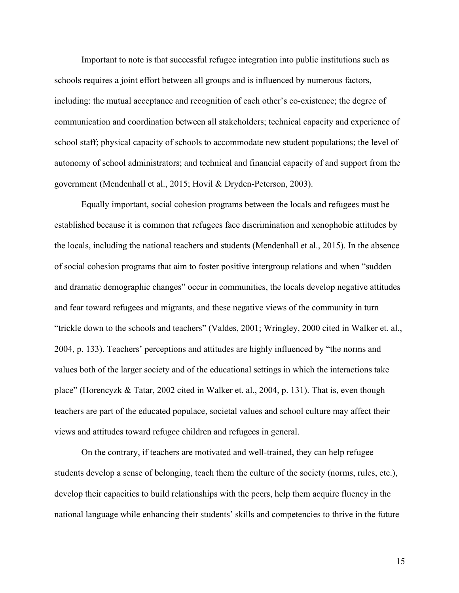Important to note is that successful refugee integration into public institutions such as schools requires a joint effort between all groups and is influenced by numerous factors, including: the mutual acceptance and recognition of each other's co-existence; the degree of communication and coordination between all stakeholders; technical capacity and experience of school staff; physical capacity of schools to accommodate new student populations; the level of autonomy of school administrators; and technical and financial capacity of and support from the government (Mendenhall et al., 2015; Hovil & Dryden-Peterson, 2003).

Equally important, social cohesion programs between the locals and refugees must be established because it is common that refugees face discrimination and xenophobic attitudes by the locals, including the national teachers and students (Mendenhall et al., 2015). In the absence of social cohesion programs that aim to foster positive intergroup relations and when "sudden and dramatic demographic changes" occur in communities, the locals develop negative attitudes and fear toward refugees and migrants, and these negative views of the community in turn "trickle down to the schools and teachers" (Valdes, 2001; Wringley, 2000 cited in Walker et. al., 2004, p. 133). Teachers' perceptions and attitudes are highly influenced by "the norms and values both of the larger society and of the educational settings in which the interactions take place" (Horencyzk & Tatar, 2002 cited in Walker et. al., 2004, p. 131). That is, even though teachers are part of the educated populace, societal values and school culture may affect their views and attitudes toward refugee children and refugees in general.

On the contrary, if teachers are motivated and well-trained, they can help refugee students develop a sense of belonging, teach them the culture of the society (norms, rules, etc.), develop their capacities to build relationships with the peers, help them acquire fluency in the national language while enhancing their students' skills and competencies to thrive in the future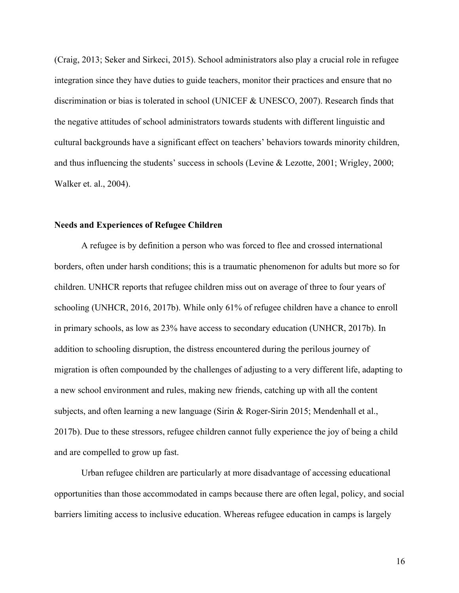(Craig, 2013; Seker and Sirkeci, 2015). School administrators also play a crucial role in refugee integration since they have duties to guide teachers, monitor their practices and ensure that no discrimination or bias is tolerated in school (UNICEF & UNESCO, 2007). Research finds that the negative attitudes of school administrators towards students with different linguistic and cultural backgrounds have a significant effect on teachers' behaviors towards minority children, and thus influencing the students' success in schools (Levine & Lezotte, 2001; Wrigley, 2000; Walker et. al., 2004).

### **Needs and Experiences of Refugee Children**

A refugee is by definition a person who was forced to flee and crossed international borders, often under harsh conditions; this is a traumatic phenomenon for adults but more so for children. UNHCR reports that refugee children miss out on average of three to four years of schooling (UNHCR, 2016, 2017b). While only 61% of refugee children have a chance to enroll in primary schools, as low as 23% have access to secondary education (UNHCR, 2017b). In addition to schooling disruption, the distress encountered during the perilous journey of migration is often compounded by the challenges of adjusting to a very different life, adapting to a new school environment and rules, making new friends, catching up with all the content subjects, and often learning a new language (Sirin & Roger-Sirin 2015; Mendenhall et al., 2017b). Due to these stressors, refugee children cannot fully experience the joy of being a child and are compelled to grow up fast.

Urban refugee children are particularly at more disadvantage of accessing educational opportunities than those accommodated in camps because there are often legal, policy, and social barriers limiting access to inclusive education. Whereas refugee education in camps is largely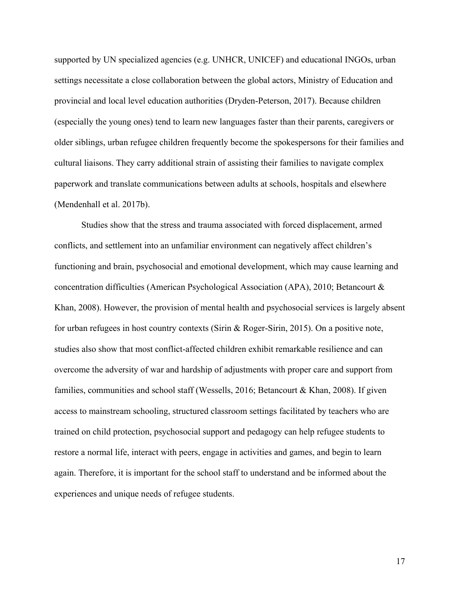supported by UN specialized agencies (e.g. UNHCR, UNICEF) and educational INGOs, urban settings necessitate a close collaboration between the global actors, Ministry of Education and provincial and local level education authorities (Dryden-Peterson, 2017). Because children (especially the young ones) tend to learn new languages faster than their parents, caregivers or older siblings, urban refugee children frequently become the spokespersons for their families and cultural liaisons. They carry additional strain of assisting their families to navigate complex paperwork and translate communications between adults at schools, hospitals and elsewhere (Mendenhall et al. 2017b).

Studies show that the stress and trauma associated with forced displacement, armed conflicts, and settlement into an unfamiliar environment can negatively affect children's functioning and brain, psychosocial and emotional development, which may cause learning and concentration difficulties (American Psychological Association (APA), 2010; Betancourt & Khan, 2008). However, the provision of mental health and psychosocial services is largely absent for urban refugees in host country contexts (Sirin & Roger-Sirin, 2015). On a positive note, studies also show that most conflict-affected children exhibit remarkable resilience and can overcome the adversity of war and hardship of adjustments with proper care and support from families, communities and school staff (Wessells, 2016; Betancourt & Khan, 2008). If given access to mainstream schooling, structured classroom settings facilitated by teachers who are trained on child protection, psychosocial support and pedagogy can help refugee students to restore a normal life, interact with peers, engage in activities and games, and begin to learn again. Therefore, it is important for the school staff to understand and be informed about the experiences and unique needs of refugee students.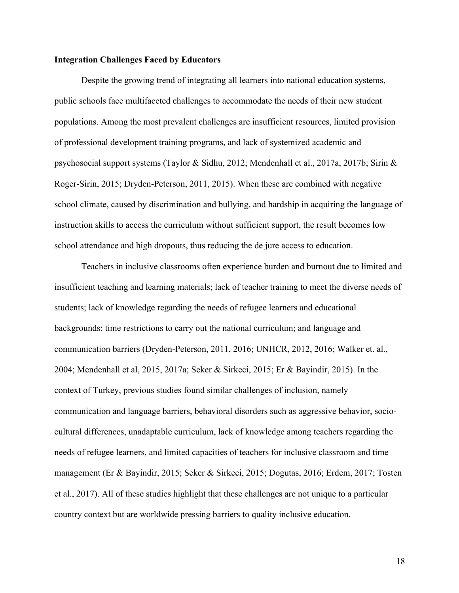## **Integration Challenges Faced by Educators**

Despite the growing trend of integrating all learners into national education systems, public schools face multifaceted challenges to accommodate the needs of their new student populations. Among the most prevalent challenges are insufficient resources, limited provision of professional development training programs, and lack of systemized academic and psychosocial support systems (Taylor & Sidhu, 2012; Mendenhall et al., 2017a, 2017b; Sirin & Roger-Sirin, 2015; Dryden-Peterson, 2011, 2015). When these are combined with negative school climate, caused by discrimination and bullying, and hardship in acquiring the language of instruction skills to access the curriculum without sufficient support, the result becomes low school attendance and high dropouts, thus reducing the de jure access to education.

Teachers in inclusive classrooms often experience burden and burnout due to limited and insufficient teaching and learning materials; lack of teacher training to meet the diverse needs of students; lack of knowledge regarding the needs of refugee learners and educational backgrounds; time restrictions to carry out the national curriculum; and language and communication barriers (Dryden-Peterson, 2011, 2016; UNHCR, 2012, 2016; Walker et. al., 2004; Mendenhall et al, 2015, 2017a; Seker & Sirkeci, 2015; Er & Bayindir, 2015). In the context of Turkey, previous studies found similar challenges of inclusion, namely communication and language barriers, behavioral disorders such as aggressive behavior, sociocultural differences, unadaptable curriculum, lack of knowledge among teachers regarding the needs of refugee learners, and limited capacities of teachers for inclusive classroom and time management (Er & Bayindir, 2015; Seker & Sirkeci, 2015; Dogutas, 2016; Erdem, 2017; Tosten et al., 2017). All of these studies highlight that these challenges are not unique to a particular country context but are worldwide pressing barriers to quality inclusive education.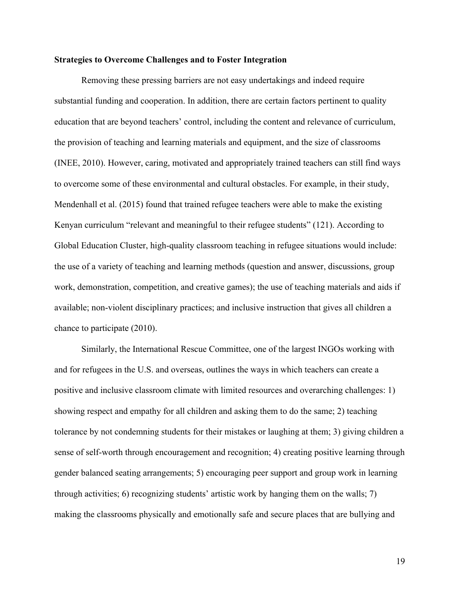## **Strategies to Overcome Challenges and to Foster Integration**

Removing these pressing barriers are not easy undertakings and indeed require substantial funding and cooperation. In addition, there are certain factors pertinent to quality education that are beyond teachers' control, including the content and relevance of curriculum, the provision of teaching and learning materials and equipment, and the size of classrooms (INEE, 2010). However, caring, motivated and appropriately trained teachers can still find ways to overcome some of these environmental and cultural obstacles. For example, in their study, Mendenhall et al. (2015) found that trained refugee teachers were able to make the existing Kenyan curriculum "relevant and meaningful to their refugee students" (121). According to Global Education Cluster, high-quality classroom teaching in refugee situations would include: the use of a variety of teaching and learning methods (question and answer, discussions, group work, demonstration, competition, and creative games); the use of teaching materials and aids if available; non-violent disciplinary practices; and inclusive instruction that gives all children a chance to participate (2010).

Similarly, the International Rescue Committee, one of the largest INGOs working with and for refugees in the U.S. and overseas, outlines the ways in which teachers can create a positive and inclusive classroom climate with limited resources and overarching challenges: 1) showing respect and empathy for all children and asking them to do the same; 2) teaching tolerance by not condemning students for their mistakes or laughing at them; 3) giving children a sense of self-worth through encouragement and recognition; 4) creating positive learning through gender balanced seating arrangements; 5) encouraging peer support and group work in learning through activities; 6) recognizing students' artistic work by hanging them on the walls; 7) making the classrooms physically and emotionally safe and secure places that are bullying and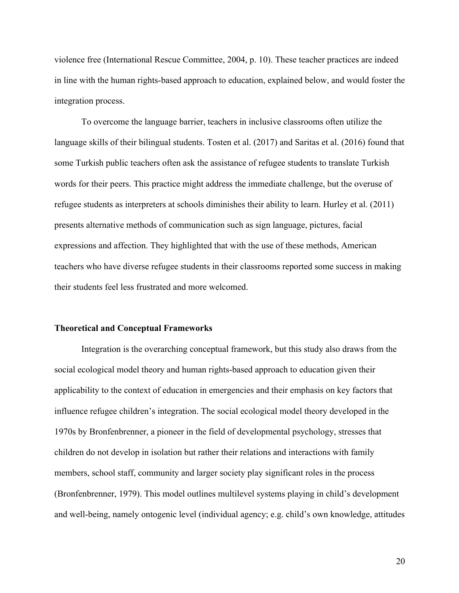violence free (International Rescue Committee, 2004, p. 10). These teacher practices are indeed in line with the human rights-based approach to education, explained below, and would foster the integration process.

To overcome the language barrier, teachers in inclusive classrooms often utilize the language skills of their bilingual students. Tosten et al. (2017) and Saritas et al. (2016) found that some Turkish public teachers often ask the assistance of refugee students to translate Turkish words for their peers. This practice might address the immediate challenge, but the overuse of refugee students as interpreters at schools diminishes their ability to learn. Hurley et al. (2011) presents alternative methods of communication such as sign language, pictures, facial expressions and affection. They highlighted that with the use of these methods, American teachers who have diverse refugee students in their classrooms reported some success in making their students feel less frustrated and more welcomed.

#### **Theoretical and Conceptual Frameworks**

Integration is the overarching conceptual framework, but this study also draws from the social ecological model theory and human rights-based approach to education given their applicability to the context of education in emergencies and their emphasis on key factors that influence refugee children's integration. The social ecological model theory developed in the 1970s by Bronfenbrenner, a pioneer in the field of developmental psychology, stresses that children do not develop in isolation but rather their relations and interactions with family members, school staff, community and larger society play significant roles in the process (Bronfenbrenner, 1979). This model outlines multilevel systems playing in child's development and well-being, namely ontogenic level (individual agency; e.g. child's own knowledge, attitudes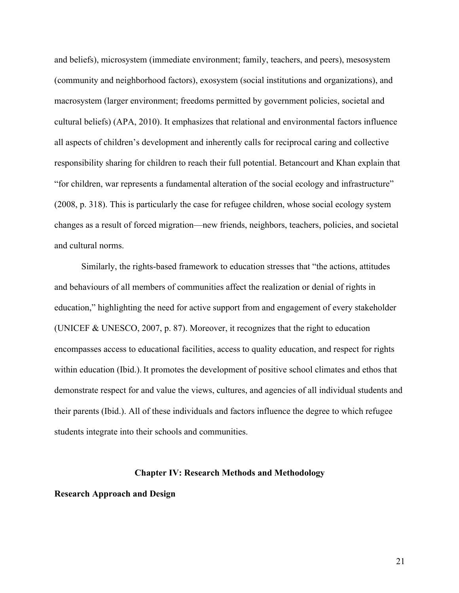and beliefs), microsystem (immediate environment; family, teachers, and peers), mesosystem (community and neighborhood factors), exosystem (social institutions and organizations), and macrosystem (larger environment; freedoms permitted by government policies, societal and cultural beliefs) (APA, 2010). It emphasizes that relational and environmental factors influence all aspects of children's development and inherently calls for reciprocal caring and collective responsibility sharing for children to reach their full potential. Betancourt and Khan explain that "for children, war represents a fundamental alteration of the social ecology and infrastructure" (2008, p. 318). This is particularly the case for refugee children, whose social ecology system changes as a result of forced migration—new friends, neighbors, teachers, policies, and societal and cultural norms.

Similarly, the rights-based framework to education stresses that "the actions, attitudes and behaviours of all members of communities affect the realization or denial of rights in education," highlighting the need for active support from and engagement of every stakeholder (UNICEF & UNESCO, 2007, p. 87). Moreover, it recognizes that the right to education encompasses access to educational facilities, access to quality education, and respect for rights within education (Ibid.). It promotes the development of positive school climates and ethos that demonstrate respect for and value the views, cultures, and agencies of all individual students and their parents (Ibid.). All of these individuals and factors influence the degree to which refugee students integrate into their schools and communities.

#### **Chapter IV: Research Methods and Methodology**

**Research Approach and Design**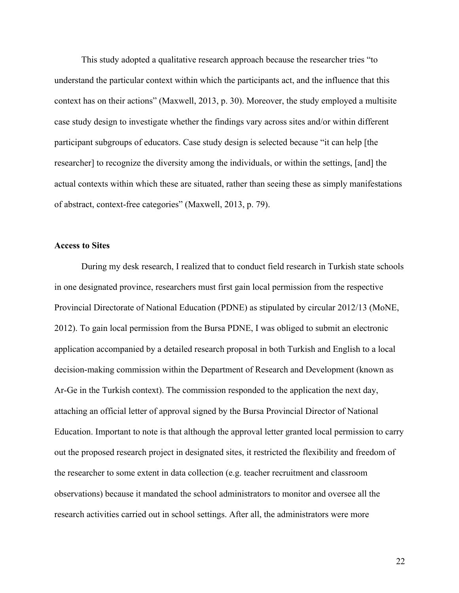This study adopted a qualitative research approach because the researcher tries "to understand the particular context within which the participants act, and the influence that this context has on their actions" (Maxwell, 2013, p. 30). Moreover, the study employed a multisite case study design to investigate whether the findings vary across sites and/or within different participant subgroups of educators. Case study design is selected because "it can help [the researcher] to recognize the diversity among the individuals, or within the settings, [and] the actual contexts within which these are situated, rather than seeing these as simply manifestations of abstract, context-free categories" (Maxwell, 2013, p. 79).

## **Access to Sites**

During my desk research, I realized that to conduct field research in Turkish state schools in one designated province, researchers must first gain local permission from the respective Provincial Directorate of National Education (PDNE) as stipulated by circular 2012/13 (MoNE, 2012). To gain local permission from the Bursa PDNE, I was obliged to submit an electronic application accompanied by a detailed research proposal in both Turkish and English to a local decision-making commission within the Department of Research and Development (known as Ar-Ge in the Turkish context). The commission responded to the application the next day, attaching an official letter of approval signed by the Bursa Provincial Director of National Education. Important to note is that although the approval letter granted local permission to carry out the proposed research project in designated sites, it restricted the flexibility and freedom of the researcher to some extent in data collection (e.g. teacher recruitment and classroom observations) because it mandated the school administrators to monitor and oversee all the research activities carried out in school settings. After all, the administrators were more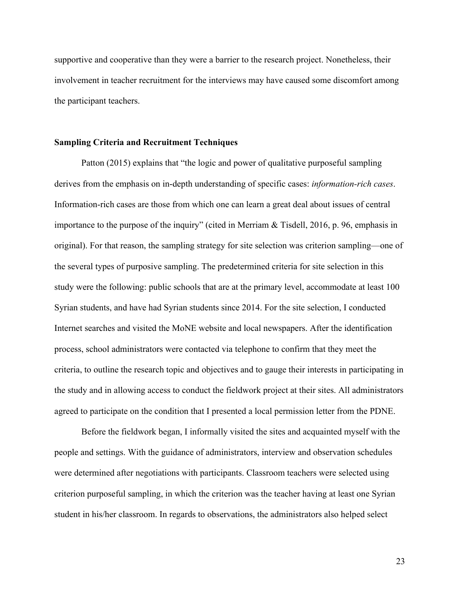supportive and cooperative than they were a barrier to the research project. Nonetheless, their involvement in teacher recruitment for the interviews may have caused some discomfort among the participant teachers.

## **Sampling Criteria and Recruitment Techniques**

Patton (2015) explains that "the logic and power of qualitative purposeful sampling derives from the emphasis on in-depth understanding of specific cases: *information-rich cases*. Information-rich cases are those from which one can learn a great deal about issues of central importance to the purpose of the inquiry" (cited in Merriam & Tisdell, 2016, p. 96, emphasis in original). For that reason, the sampling strategy for site selection was criterion sampling—one of the several types of purposive sampling. The predetermined criteria for site selection in this study were the following: public schools that are at the primary level, accommodate at least 100 Syrian students, and have had Syrian students since 2014. For the site selection, I conducted Internet searches and visited the MoNE website and local newspapers. After the identification process, school administrators were contacted via telephone to confirm that they meet the criteria, to outline the research topic and objectives and to gauge their interests in participating in the study and in allowing access to conduct the fieldwork project at their sites. All administrators agreed to participate on the condition that I presented a local permission letter from the PDNE.

Before the fieldwork began, I informally visited the sites and acquainted myself with the people and settings. With the guidance of administrators, interview and observation schedules were determined after negotiations with participants. Classroom teachers were selected using criterion purposeful sampling, in which the criterion was the teacher having at least one Syrian student in his/her classroom. In regards to observations, the administrators also helped select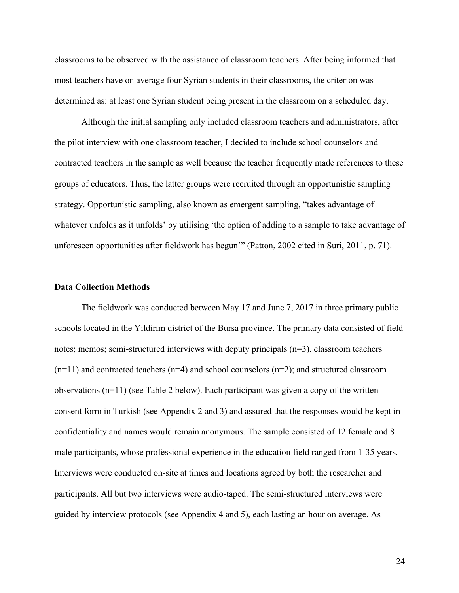classrooms to be observed with the assistance of classroom teachers. After being informed that most teachers have on average four Syrian students in their classrooms, the criterion was determined as: at least one Syrian student being present in the classroom on a scheduled day.

Although the initial sampling only included classroom teachers and administrators, after the pilot interview with one classroom teacher, I decided to include school counselors and contracted teachers in the sample as well because the teacher frequently made references to these groups of educators. Thus, the latter groups were recruited through an opportunistic sampling strategy. Opportunistic sampling, also known as emergent sampling, "takes advantage of whatever unfolds as it unfolds' by utilising 'the option of adding to a sample to take advantage of unforeseen opportunities after fieldwork has begun'" (Patton, 2002 cited in Suri, 2011, p. 71).

#### **Data Collection Methods**

The fieldwork was conducted between May 17 and June 7, 2017 in three primary public schools located in the Yildirim district of the Bursa province. The primary data consisted of field notes; memos; semi-structured interviews with deputy principals (n=3), classroom teachers  $(n=11)$  and contracted teachers  $(n=4)$  and school counselors  $(n=2)$ ; and structured classroom observations (n=11) (see Table 2 below). Each participant was given a copy of the written consent form in Turkish (see Appendix 2 and 3) and assured that the responses would be kept in confidentiality and names would remain anonymous. The sample consisted of 12 female and 8 male participants, whose professional experience in the education field ranged from 1-35 years. Interviews were conducted on-site at times and locations agreed by both the researcher and participants. All but two interviews were audio-taped. The semi-structured interviews were guided by interview protocols (see Appendix 4 and 5), each lasting an hour on average. As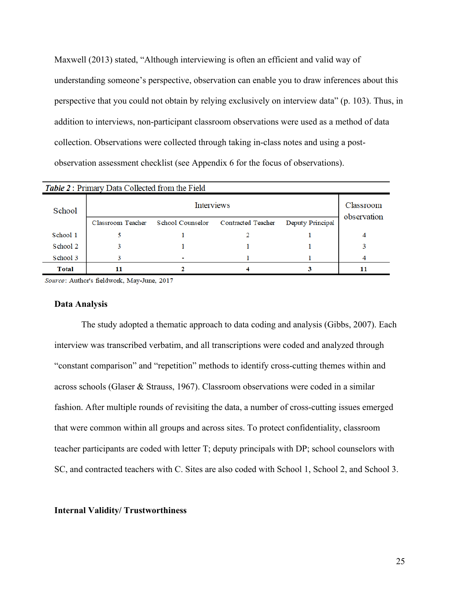Maxwell (2013) stated, "Although interviewing is often an efficient and valid way of understanding someone's perspective, observation can enable you to draw inferences about this perspective that you could not obtain by relying exclusively on interview data" (p. 103). Thus, in addition to interviews, non-participant classroom observations were used as a method of data collection. Observations were collected through taking in-class notes and using a postobservation assessment checklist (see Appendix 6 for the focus of observations).

| <b>Table 2:</b> Primary Data Collected from the Field |                   |                         |                           |                  |                          |  |  |
|-------------------------------------------------------|-------------------|-------------------------|---------------------------|------------------|--------------------------|--|--|
| School                                                | <b>Interviews</b> |                         |                           |                  | Classroom<br>observation |  |  |
|                                                       | Classroom Teacher | <b>School Counselor</b> | <b>Contracted Teacher</b> | Deputy Principal |                          |  |  |
| School 1                                              |                   |                         |                           |                  |                          |  |  |
| School 2                                              |                   |                         |                           |                  |                          |  |  |
| School 3                                              |                   |                         |                           |                  |                          |  |  |
| Total                                                 | 11                |                         |                           |                  |                          |  |  |

Source: Author's fieldwork, May-June, 2017

#### **Data Analysis**

The study adopted a thematic approach to data coding and analysis (Gibbs, 2007). Each interview was transcribed verbatim, and all transcriptions were coded and analyzed through "constant comparison" and "repetition" methods to identify cross-cutting themes within and across schools (Glaser & Strauss, 1967). Classroom observations were coded in a similar fashion. After multiple rounds of revisiting the data, a number of cross-cutting issues emerged that were common within all groups and across sites. To protect confidentiality, classroom teacher participants are coded with letter T; deputy principals with DP; school counselors with SC, and contracted teachers with C. Sites are also coded with School 1, School 2, and School 3.

## **Internal Validity/ Trustworthiness**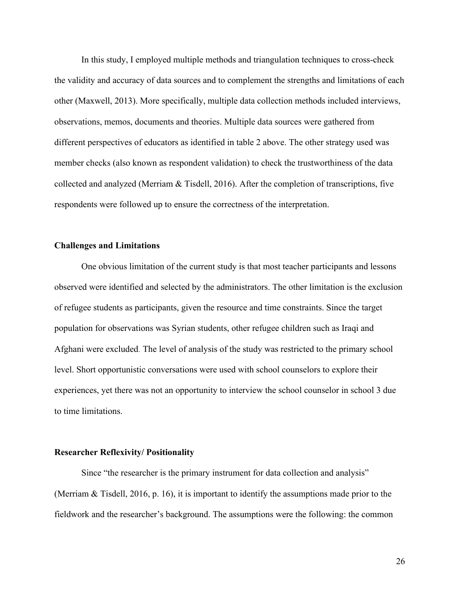In this study, I employed multiple methods and triangulation techniques to cross-check the validity and accuracy of data sources and to complement the strengths and limitations of each other (Maxwell, 2013). More specifically, multiple data collection methods included interviews, observations, memos, documents and theories. Multiple data sources were gathered from different perspectives of educators as identified in table 2 above. The other strategy used was member checks (also known as respondent validation) to check the trustworthiness of the data collected and analyzed (Merriam & Tisdell, 2016). After the completion of transcriptions, five respondents were followed up to ensure the correctness of the interpretation.

## **Challenges and Limitations**

One obvious limitation of the current study is that most teacher participants and lessons observed were identified and selected by the administrators. The other limitation is the exclusion of refugee students as participants, given the resource and time constraints. Since the target population for observations was Syrian students, other refugee children such as Iraqi and Afghani were excluded. The level of analysis of the study was restricted to the primary school level. Short opportunistic conversations were used with school counselors to explore their experiences, yet there was not an opportunity to interview the school counselor in school 3 due to time limitations.

## **Researcher Reflexivity/ Positionality**

Since "the researcher is the primary instrument for data collection and analysis" (Merriam & Tisdell, 2016, p. 16), it is important to identify the assumptions made prior to the fieldwork and the researcher's background. The assumptions were the following: the common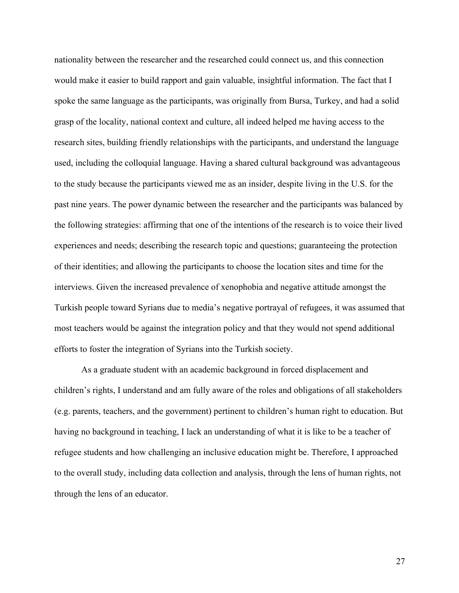nationality between the researcher and the researched could connect us, and this connection would make it easier to build rapport and gain valuable, insightful information. The fact that I spoke the same language as the participants, was originally from Bursa, Turkey, and had a solid grasp of the locality, national context and culture, all indeed helped me having access to the research sites, building friendly relationships with the participants, and understand the language used, including the colloquial language. Having a shared cultural background was advantageous to the study because the participants viewed me as an insider, despite living in the U.S. for the past nine years. The power dynamic between the researcher and the participants was balanced by the following strategies: affirming that one of the intentions of the research is to voice their lived experiences and needs; describing the research topic and questions; guaranteeing the protection of their identities; and allowing the participants to choose the location sites and time for the interviews. Given the increased prevalence of xenophobia and negative attitude amongst the Turkish people toward Syrians due to media's negative portrayal of refugees, it was assumed that most teachers would be against the integration policy and that they would not spend additional efforts to foster the integration of Syrians into the Turkish society.

As a graduate student with an academic background in forced displacement and children's rights, I understand and am fully aware of the roles and obligations of all stakeholders (e.g. parents, teachers, and the government) pertinent to children's human right to education. But having no background in teaching, I lack an understanding of what it is like to be a teacher of refugee students and how challenging an inclusive education might be. Therefore, I approached to the overall study, including data collection and analysis, through the lens of human rights, not through the lens of an educator.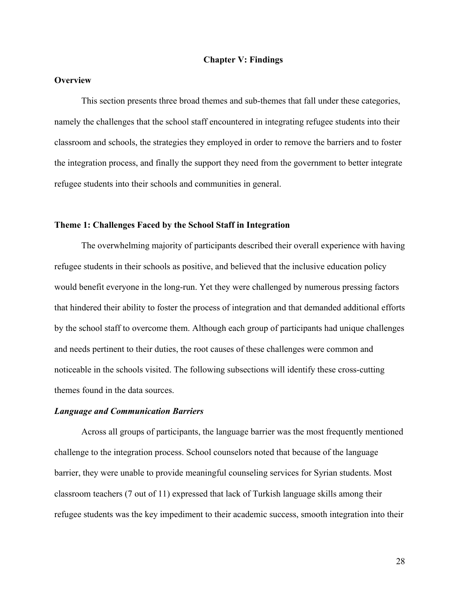## **Chapter V: Findings**

# **Overview**

This section presents three broad themes and sub-themes that fall under these categories, namely the challenges that the school staff encountered in integrating refugee students into their classroom and schools, the strategies they employed in order to remove the barriers and to foster the integration process, and finally the support they need from the government to better integrate refugee students into their schools and communities in general.

#### **Theme 1: Challenges Faced by the School Staff in Integration**

The overwhelming majority of participants described their overall experience with having refugee students in their schools as positive, and believed that the inclusive education policy would benefit everyone in the long-run. Yet they were challenged by numerous pressing factors that hindered their ability to foster the process of integration and that demanded additional efforts by the school staff to overcome them. Although each group of participants had unique challenges and needs pertinent to their duties, the root causes of these challenges were common and noticeable in the schools visited. The following subsections will identify these cross-cutting themes found in the data sources.

#### *Language and Communication Barriers*

Across all groups of participants, the language barrier was the most frequently mentioned challenge to the integration process. School counselors noted that because of the language barrier, they were unable to provide meaningful counseling services for Syrian students. Most classroom teachers (7 out of 11) expressed that lack of Turkish language skills among their refugee students was the key impediment to their academic success, smooth integration into their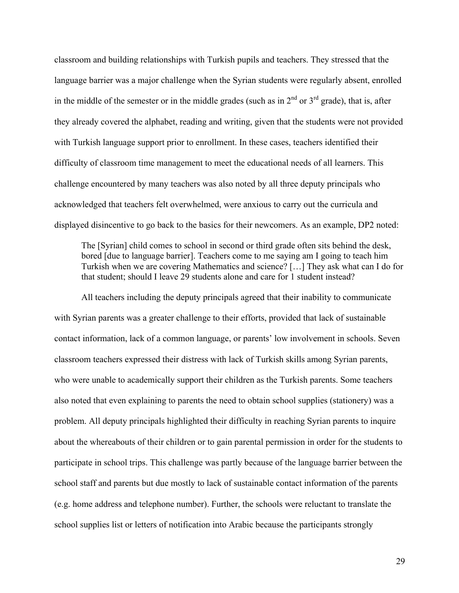classroom and building relationships with Turkish pupils and teachers. They stressed that the language barrier was a major challenge when the Syrian students were regularly absent, enrolled in the middle of the semester or in the middle grades (such as in  $2<sup>nd</sup>$  or  $3<sup>rd</sup>$  grade), that is, after they already covered the alphabet, reading and writing, given that the students were not provided with Turkish language support prior to enrollment. In these cases, teachers identified their difficulty of classroom time management to meet the educational needs of all learners. This challenge encountered by many teachers was also noted by all three deputy principals who acknowledged that teachers felt overwhelmed, were anxious to carry out the curricula and displayed disincentive to go back to the basics for their newcomers. As an example, DP2 noted:

The [Syrian] child comes to school in second or third grade often sits behind the desk, bored [due to language barrier]. Teachers come to me saying am I going to teach him Turkish when we are covering Mathematics and science? […] They ask what can I do for that student; should I leave 29 students alone and care for 1 student instead?

All teachers including the deputy principals agreed that their inability to communicate with Syrian parents was a greater challenge to their efforts, provided that lack of sustainable contact information, lack of a common language, or parents' low involvement in schools. Seven classroom teachers expressed their distress with lack of Turkish skills among Syrian parents, who were unable to academically support their children as the Turkish parents. Some teachers also noted that even explaining to parents the need to obtain school supplies (stationery) was a problem. All deputy principals highlighted their difficulty in reaching Syrian parents to inquire about the whereabouts of their children or to gain parental permission in order for the students to participate in school trips. This challenge was partly because of the language barrier between the school staff and parents but due mostly to lack of sustainable contact information of the parents (e.g. home address and telephone number). Further, the schools were reluctant to translate the school supplies list or letters of notification into Arabic because the participants strongly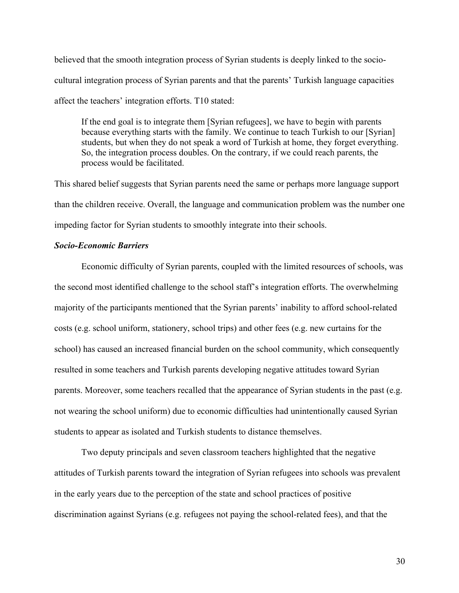believed that the smooth integration process of Syrian students is deeply linked to the sociocultural integration process of Syrian parents and that the parents' Turkish language capacities affect the teachers' integration efforts. T10 stated:

If the end goal is to integrate them [Syrian refugees], we have to begin with parents because everything starts with the family. We continue to teach Turkish to our [Syrian] students, but when they do not speak a word of Turkish at home, they forget everything. So, the integration process doubles. On the contrary, if we could reach parents, the process would be facilitated.

This shared belief suggests that Syrian parents need the same or perhaps more language support than the children receive. Overall, the language and communication problem was the number one impeding factor for Syrian students to smoothly integrate into their schools.

#### *Socio-Economic Barriers*

Economic difficulty of Syrian parents, coupled with the limited resources of schools, was the second most identified challenge to the school staff's integration efforts. The overwhelming majority of the participants mentioned that the Syrian parents' inability to afford school-related costs (e.g. school uniform, stationery, school trips) and other fees (e.g. new curtains for the school) has caused an increased financial burden on the school community, which consequently resulted in some teachers and Turkish parents developing negative attitudes toward Syrian parents. Moreover, some teachers recalled that the appearance of Syrian students in the past (e.g. not wearing the school uniform) due to economic difficulties had unintentionally caused Syrian students to appear as isolated and Turkish students to distance themselves.

Two deputy principals and seven classroom teachers highlighted that the negative attitudes of Turkish parents toward the integration of Syrian refugees into schools was prevalent in the early years due to the perception of the state and school practices of positive discrimination against Syrians (e.g. refugees not paying the school-related fees), and that the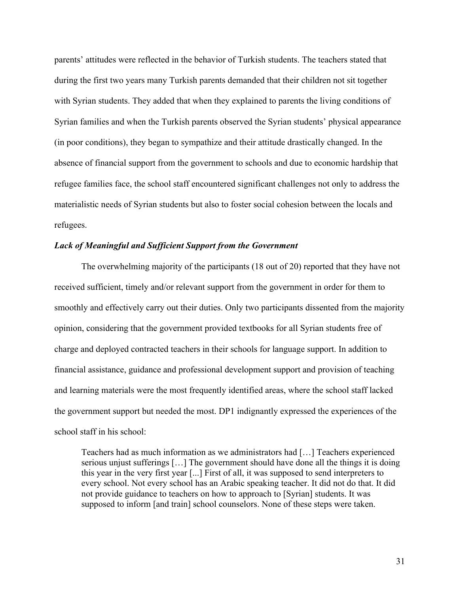parents' attitudes were reflected in the behavior of Turkish students. The teachers stated that during the first two years many Turkish parents demanded that their children not sit together with Syrian students. They added that when they explained to parents the living conditions of Syrian families and when the Turkish parents observed the Syrian students' physical appearance (in poor conditions), they began to sympathize and their attitude drastically changed. In the absence of financial support from the government to schools and due to economic hardship that refugee families face, the school staff encountered significant challenges not only to address the materialistic needs of Syrian students but also to foster social cohesion between the locals and refugees.

#### *Lack of Meaningful and Sufficient Support from the Government*

The overwhelming majority of the participants (18 out of 20) reported that they have not received sufficient, timely and/or relevant support from the government in order for them to smoothly and effectively carry out their duties. Only two participants dissented from the majority opinion, considering that the government provided textbooks for all Syrian students free of charge and deployed contracted teachers in their schools for language support. In addition to financial assistance, guidance and professional development support and provision of teaching and learning materials were the most frequently identified areas, where the school staff lacked the government support but needed the most. DP1 indignantly expressed the experiences of the school staff in his school:

Teachers had as much information as we administrators had […] Teachers experienced serious unjust sufferings […] The government should have done all the things it is doing this year in the very first year [...] First of all, it was supposed to send interpreters to every school. Not every school has an Arabic speaking teacher. It did not do that. It did not provide guidance to teachers on how to approach to [Syrian] students. It was supposed to inform [and train] school counselors. None of these steps were taken.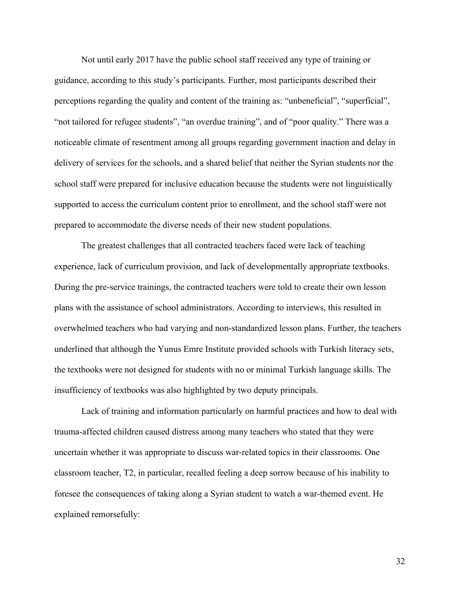Not until early 2017 have the public school staff received any type of training or guidance, according to this study's participants. Further, most participants described their perceptions regarding the quality and content of the training as: "unbeneficial", "superficial", "not tailored for refugee students", "an overdue training", and of "poor quality." There was a noticeable climate of resentment among all groups regarding government inaction and delay in delivery of services for the schools, and a shared belief that neither the Syrian students nor the school staff were prepared for inclusive education because the students were not linguistically supported to access the curriculum content prior to enrollment, and the school staff were not prepared to accommodate the diverse needs of their new student populations.

The greatest challenges that all contracted teachers faced were lack of teaching experience, lack of curriculum provision, and lack of developmentally appropriate textbooks. During the pre-service trainings, the contracted teachers were told to create their own lesson plans with the assistance of school administrators. According to interviews, this resulted in overwhelmed teachers who had varying and non-standardized lesson plans. Further, the teachers underlined that although the Yunus Emre Institute provided schools with Turkish literacy sets, the textbooks were not designed for students with no or minimal Turkish language skills. The insufficiency of textbooks was also highlighted by two deputy principals.

Lack of training and information particularly on harmful practices and how to deal with trauma-affected children caused distress among many teachers who stated that they were uncertain whether it was appropriate to discuss war-related topics in their classrooms. One classroom teacher, T2, in particular, recalled feeling a deep sorrow because of his inability to foresee the consequences of taking along a Syrian student to watch a war-themed event. He explained remorsefully: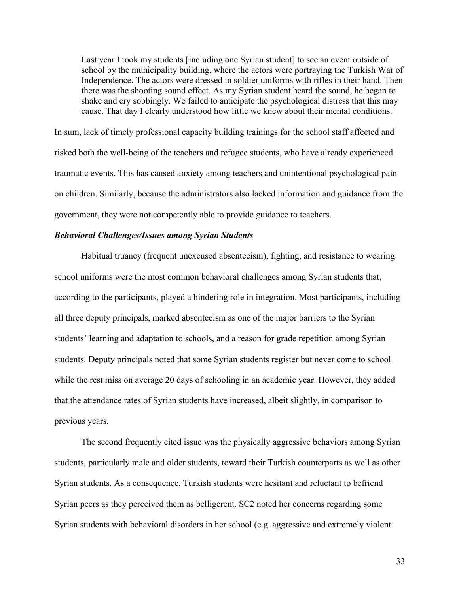Last year I took my students [including one Syrian student] to see an event outside of school by the municipality building, where the actors were portraying the Turkish War of Independence. The actors were dressed in soldier uniforms with rifles in their hand. Then there was the shooting sound effect. As my Syrian student heard the sound, he began to shake and cry sobbingly. We failed to anticipate the psychological distress that this may cause. That day I clearly understood how little we knew about their mental conditions.

In sum, lack of timely professional capacity building trainings for the school staff affected and risked both the well-being of the teachers and refugee students, who have already experienced traumatic events. This has caused anxiety among teachers and unintentional psychological pain on children. Similarly, because the administrators also lacked information and guidance from the government, they were not competently able to provide guidance to teachers.

#### *Behavioral Challenges/Issues among Syrian Students*

Habitual truancy (frequent unexcused absenteeism), fighting, and resistance to wearing school uniforms were the most common behavioral challenges among Syrian students that, according to the participants, played a hindering role in integration. Most participants, including all three deputy principals, marked absenteeism as one of the major barriers to the Syrian students' learning and adaptation to schools, and a reason for grade repetition among Syrian students. Deputy principals noted that some Syrian students register but never come to school while the rest miss on average 20 days of schooling in an academic year. However, they added that the attendance rates of Syrian students have increased, albeit slightly, in comparison to previous years.

The second frequently cited issue was the physically aggressive behaviors among Syrian students, particularly male and older students, toward their Turkish counterparts as well as other Syrian students. As a consequence, Turkish students were hesitant and reluctant to befriend Syrian peers as they perceived them as belligerent. SC2 noted her concerns regarding some Syrian students with behavioral disorders in her school (e.g. aggressive and extremely violent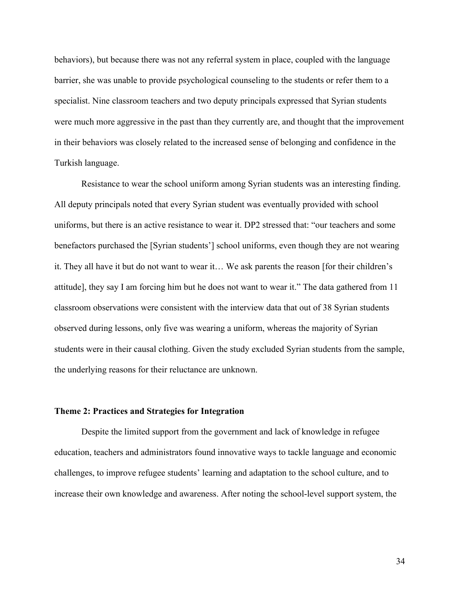behaviors), but because there was not any referral system in place, coupled with the language barrier, she was unable to provide psychological counseling to the students or refer them to a specialist. Nine classroom teachers and two deputy principals expressed that Syrian students were much more aggressive in the past than they currently are, and thought that the improvement in their behaviors was closely related to the increased sense of belonging and confidence in the Turkish language.

Resistance to wear the school uniform among Syrian students was an interesting finding. All deputy principals noted that every Syrian student was eventually provided with school uniforms, but there is an active resistance to wear it. DP2 stressed that: "our teachers and some benefactors purchased the [Syrian students'] school uniforms, even though they are not wearing it. They all have it but do not want to wear it… We ask parents the reason [for their children's attitude], they say I am forcing him but he does not want to wear it." The data gathered from 11 classroom observations were consistent with the interview data that out of 38 Syrian students observed during lessons, only five was wearing a uniform, whereas the majority of Syrian students were in their causal clothing. Given the study excluded Syrian students from the sample, the underlying reasons for their reluctance are unknown.

#### **Theme 2: Practices and Strategies for Integration**

Despite the limited support from the government and lack of knowledge in refugee education, teachers and administrators found innovative ways to tackle language and economic challenges, to improve refugee students' learning and adaptation to the school culture, and to increase their own knowledge and awareness. After noting the school-level support system, the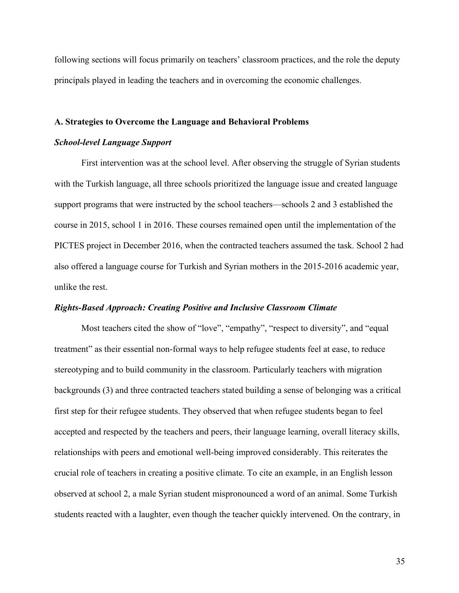following sections will focus primarily on teachers' classroom practices, and the role the deputy principals played in leading the teachers and in overcoming the economic challenges.

#### **A. Strategies to Overcome the Language and Behavioral Problems**

#### *School-level Language Support*

First intervention was at the school level. After observing the struggle of Syrian students with the Turkish language, all three schools prioritized the language issue and created language support programs that were instructed by the school teachers—schools 2 and 3 established the course in 2015, school 1 in 2016. These courses remained open until the implementation of the PICTES project in December 2016, when the contracted teachers assumed the task. School 2 had also offered a language course for Turkish and Syrian mothers in the 2015-2016 academic year, unlike the rest.

#### *Rights-Based Approach: Creating Positive and Inclusive Classroom Climate*

Most teachers cited the show of "love", "empathy", "respect to diversity", and "equal treatment" as their essential non-formal ways to help refugee students feel at ease, to reduce stereotyping and to build community in the classroom. Particularly teachers with migration backgrounds (3) and three contracted teachers stated building a sense of belonging was a critical first step for their refugee students. They observed that when refugee students began to feel accepted and respected by the teachers and peers, their language learning, overall literacy skills, relationships with peers and emotional well-being improved considerably. This reiterates the crucial role of teachers in creating a positive climate. To cite an example, in an English lesson observed at school 2, a male Syrian student mispronounced a word of an animal. Some Turkish students reacted with a laughter, even though the teacher quickly intervened. On the contrary, in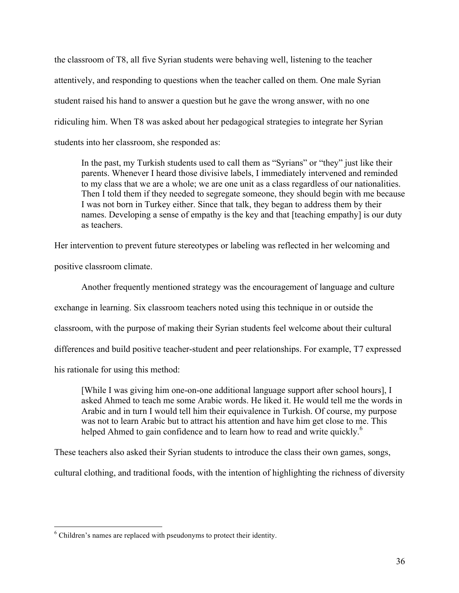the classroom of T8, all five Syrian students were behaving well, listening to the teacher attentively, and responding to questions when the teacher called on them. One male Syrian student raised his hand to answer a question but he gave the wrong answer, with no one ridiculing him. When T8 was asked about her pedagogical strategies to integrate her Syrian students into her classroom, she responded as:

In the past, my Turkish students used to call them as "Syrians" or "they" just like their parents. Whenever I heard those divisive labels, I immediately intervened and reminded to my class that we are a whole; we are one unit as a class regardless of our nationalities. Then I told them if they needed to segregate someone, they should begin with me because I was not born in Turkey either. Since that talk, they began to address them by their names. Developing a sense of empathy is the key and that [teaching empathy] is our duty as teachers.

Her intervention to prevent future stereotypes or labeling was reflected in her welcoming and positive classroom climate.

Another frequently mentioned strategy was the encouragement of language and culture exchange in learning. Six classroom teachers noted using this technique in or outside the classroom, with the purpose of making their Syrian students feel welcome about their cultural differences and build positive teacher-student and peer relationships. For example, T7 expressed his rationale for using this method:

[While I was giving him one-on-one additional language support after school hours], I asked Ahmed to teach me some Arabic words. He liked it. He would tell me the words in Arabic and in turn I would tell him their equivalence in Turkish. Of course, my purpose was not to learn Arabic but to attract his attention and have him get close to me. This helped Ahmed to gain confidence and to learn how to read and write quickly.<sup>6</sup>

These teachers also asked their Syrian students to introduce the class their own games, songs,

cultural clothing, and traditional foods, with the intention of highlighting the richness of diversity

 <sup>6</sup> Children's names are replaced with pseudonyms to protect their identity.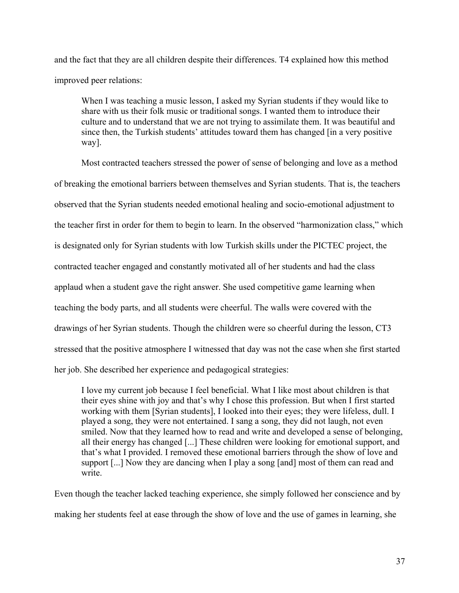and the fact that they are all children despite their differences. T4 explained how this method improved peer relations:

When I was teaching a music lesson, I asked my Syrian students if they would like to share with us their folk music or traditional songs. I wanted them to introduce their culture and to understand that we are not trying to assimilate them. It was beautiful and since then, the Turkish students' attitudes toward them has changed [in a very positive way].

Most contracted teachers stressed the power of sense of belonging and love as a method of breaking the emotional barriers between themselves and Syrian students. That is, the teachers observed that the Syrian students needed emotional healing and socio-emotional adjustment to the teacher first in order for them to begin to learn. In the observed "harmonization class," which is designated only for Syrian students with low Turkish skills under the PICTEC project, the contracted teacher engaged and constantly motivated all of her students and had the class applaud when a student gave the right answer. She used competitive game learning when teaching the body parts, and all students were cheerful. The walls were covered with the drawings of her Syrian students. Though the children were so cheerful during the lesson, CT3 stressed that the positive atmosphere I witnessed that day was not the case when she first started her job. She described her experience and pedagogical strategies:

I love my current job because I feel beneficial. What I like most about children is that their eyes shine with joy and that's why I chose this profession. But when I first started working with them [Syrian students], I looked into their eyes; they were lifeless, dull. I played a song, they were not entertained. I sang a song, they did not laugh, not even smiled. Now that they learned how to read and write and developed a sense of belonging, all their energy has changed [...] These children were looking for emotional support, and that's what I provided. I removed these emotional barriers through the show of love and support [...] Now they are dancing when I play a song [and] most of them can read and write.

Even though the teacher lacked teaching experience, she simply followed her conscience and by making her students feel at ease through the show of love and the use of games in learning, she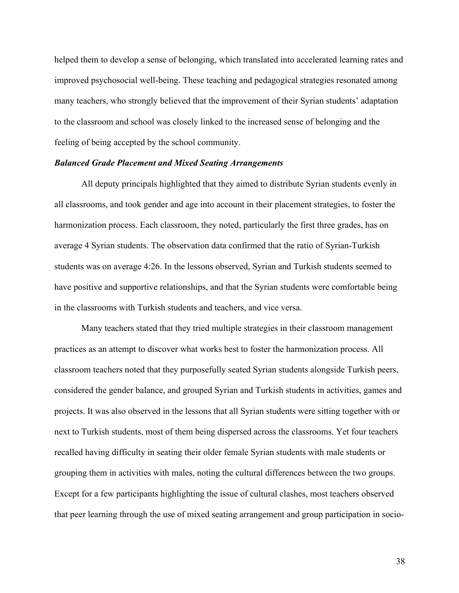helped them to develop a sense of belonging, which translated into accelerated learning rates and improved psychosocial well-being. These teaching and pedagogical strategies resonated among many teachers, who strongly believed that the improvement of their Syrian students' adaptation to the classroom and school was closely linked to the increased sense of belonging and the feeling of being accepted by the school community.

#### *Balanced Grade Placement and Mixed Seating Arrangements*

All deputy principals highlighted that they aimed to distribute Syrian students evenly in all classrooms, and took gender and age into account in their placement strategies, to foster the harmonization process. Each classroom, they noted, particularly the first three grades, has on average 4 Syrian students. The observation data confirmed that the ratio of Syrian-Turkish students was on average 4:26. In the lessons observed, Syrian and Turkish students seemed to have positive and supportive relationships, and that the Syrian students were comfortable being in the classrooms with Turkish students and teachers, and vice versa.

Many teachers stated that they tried multiple strategies in their classroom management practices as an attempt to discover what works best to foster the harmonization process. All classroom teachers noted that they purposefully seated Syrian students alongside Turkish peers, considered the gender balance, and grouped Syrian and Turkish students in activities, games and projects. It was also observed in the lessons that all Syrian students were sitting together with or next to Turkish students, most of them being dispersed across the classrooms. Yet four teachers recalled having difficulty in seating their older female Syrian students with male students or grouping them in activities with males, noting the cultural differences between the two groups. Except for a few participants highlighting the issue of cultural clashes, most teachers observed that peer learning through the use of mixed seating arrangement and group participation in socio-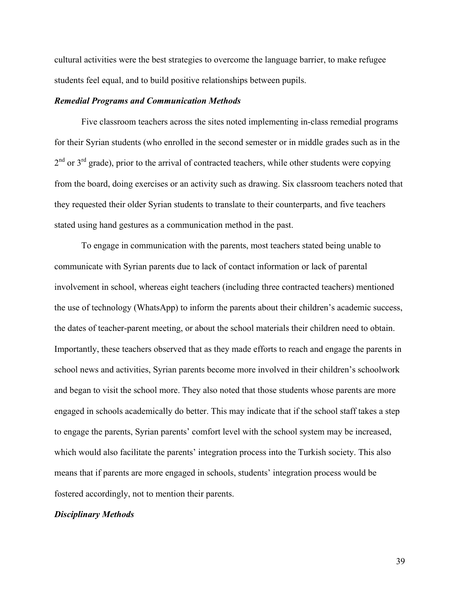cultural activities were the best strategies to overcome the language barrier, to make refugee students feel equal, and to build positive relationships between pupils.

#### *Remedial Programs and Communication Methods*

Five classroom teachers across the sites noted implementing in-class remedial programs for their Syrian students (who enrolled in the second semester or in middle grades such as in the  $2<sup>nd</sup>$  or  $3<sup>rd</sup>$  grade), prior to the arrival of contracted teachers, while other students were copying from the board, doing exercises or an activity such as drawing. Six classroom teachers noted that they requested their older Syrian students to translate to their counterparts, and five teachers stated using hand gestures as a communication method in the past.

To engage in communication with the parents, most teachers stated being unable to communicate with Syrian parents due to lack of contact information or lack of parental involvement in school, whereas eight teachers (including three contracted teachers) mentioned the use of technology (WhatsApp) to inform the parents about their children's academic success, the dates of teacher-parent meeting, or about the school materials their children need to obtain. Importantly, these teachers observed that as they made efforts to reach and engage the parents in school news and activities, Syrian parents become more involved in their children's schoolwork and began to visit the school more. They also noted that those students whose parents are more engaged in schools academically do better. This may indicate that if the school staff takes a step to engage the parents, Syrian parents' comfort level with the school system may be increased, which would also facilitate the parents' integration process into the Turkish society. This also means that if parents are more engaged in schools, students' integration process would be fostered accordingly, not to mention their parents.

#### *Disciplinary Methods*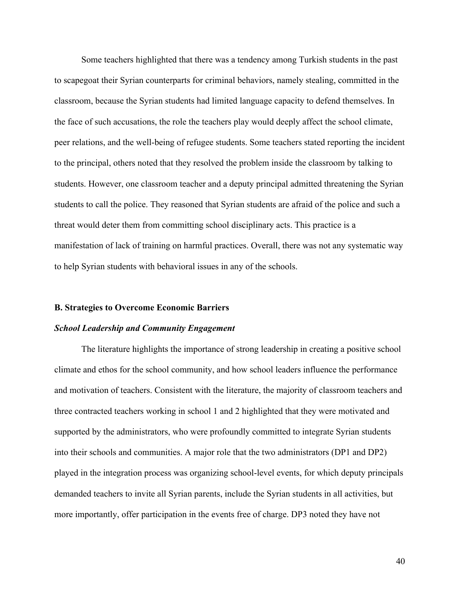Some teachers highlighted that there was a tendency among Turkish students in the past to scapegoat their Syrian counterparts for criminal behaviors, namely stealing, committed in the classroom, because the Syrian students had limited language capacity to defend themselves. In the face of such accusations, the role the teachers play would deeply affect the school climate, peer relations, and the well-being of refugee students. Some teachers stated reporting the incident to the principal, others noted that they resolved the problem inside the classroom by talking to students. However, one classroom teacher and a deputy principal admitted threatening the Syrian students to call the police. They reasoned that Syrian students are afraid of the police and such a threat would deter them from committing school disciplinary acts. This practice is a manifestation of lack of training on harmful practices. Overall, there was not any systematic way to help Syrian students with behavioral issues in any of the schools.

#### **B. Strategies to Overcome Economic Barriers**

#### *School Leadership and Community Engagement*

The literature highlights the importance of strong leadership in creating a positive school climate and ethos for the school community, and how school leaders influence the performance and motivation of teachers. Consistent with the literature, the majority of classroom teachers and three contracted teachers working in school 1 and 2 highlighted that they were motivated and supported by the administrators, who were profoundly committed to integrate Syrian students into their schools and communities. A major role that the two administrators (DP1 and DP2) played in the integration process was organizing school-level events, for which deputy principals demanded teachers to invite all Syrian parents, include the Syrian students in all activities, but more importantly, offer participation in the events free of charge. DP3 noted they have not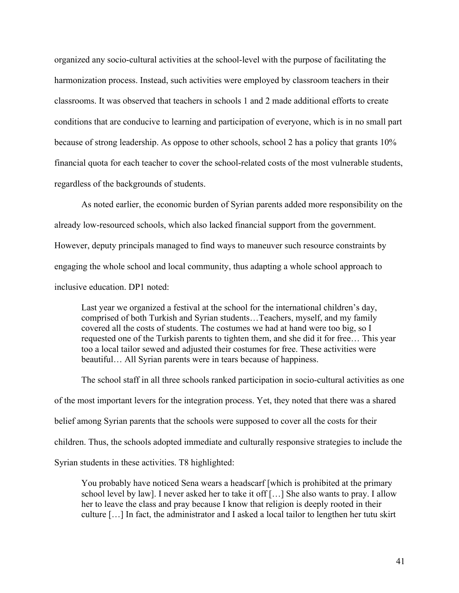organized any socio-cultural activities at the school-level with the purpose of facilitating the harmonization process. Instead, such activities were employed by classroom teachers in their classrooms. It was observed that teachers in schools 1 and 2 made additional efforts to create conditions that are conducive to learning and participation of everyone, which is in no small part because of strong leadership. As oppose to other schools, school 2 has a policy that grants 10% financial quota for each teacher to cover the school-related costs of the most vulnerable students, regardless of the backgrounds of students.

As noted earlier, the economic burden of Syrian parents added more responsibility on the already low-resourced schools, which also lacked financial support from the government. However, deputy principals managed to find ways to maneuver such resource constraints by engaging the whole school and local community, thus adapting a whole school approach to inclusive education. DP1 noted:

Last year we organized a festival at the school for the international children's day, comprised of both Turkish and Syrian students…Teachers, myself, and my family covered all the costs of students. The costumes we had at hand were too big, so I requested one of the Turkish parents to tighten them, and she did it for free… This year too a local tailor sewed and adjusted their costumes for free. These activities were beautiful… All Syrian parents were in tears because of happiness.

The school staff in all three schools ranked participation in socio-cultural activities as one of the most important levers for the integration process. Yet, they noted that there was a shared belief among Syrian parents that the schools were supposed to cover all the costs for their children. Thus, the schools adopted immediate and culturally responsive strategies to include the Syrian students in these activities. T8 highlighted:

You probably have noticed Sena wears a headscarf [which is prohibited at the primary school level by law]. I never asked her to take it off […] She also wants to pray. I allow her to leave the class and pray because I know that religion is deeply rooted in their culture […] In fact, the administrator and I asked a local tailor to lengthen her tutu skirt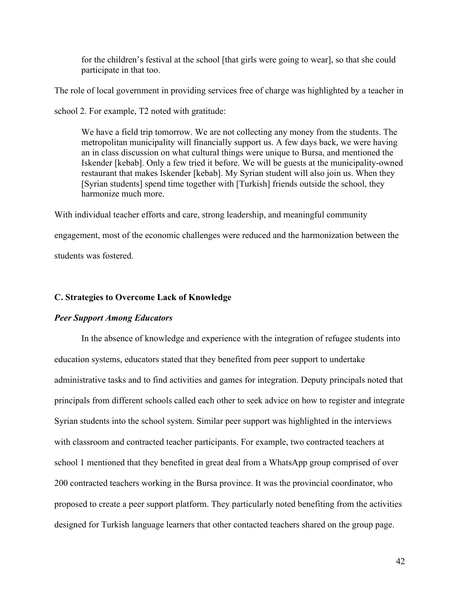for the children's festival at the school [that girls were going to wear], so that she could participate in that too.

The role of local government in providing services free of charge was highlighted by a teacher in

school 2. For example, T2 noted with gratitude:

We have a field trip tomorrow. We are not collecting any money from the students. The metropolitan municipality will financially support us. A few days back, we were having an in class discussion on what cultural things were unique to Bursa, and mentioned the Iskender [kebab]. Only a few tried it before. We will be guests at the municipality-owned restaurant that makes Iskender [kebab]. My Syrian student will also join us. When they [Syrian students] spend time together with [Turkish] friends outside the school, they harmonize much more.

With individual teacher efforts and care, strong leadership, and meaningful community engagement, most of the economic challenges were reduced and the harmonization between the students was fostered.

## **C. Strategies to Overcome Lack of Knowledge**

## *Peer Support Among Educators*

In the absence of knowledge and experience with the integration of refugee students into education systems, educators stated that they benefited from peer support to undertake administrative tasks and to find activities and games for integration. Deputy principals noted that principals from different schools called each other to seek advice on how to register and integrate Syrian students into the school system. Similar peer support was highlighted in the interviews with classroom and contracted teacher participants. For example, two contracted teachers at school 1 mentioned that they benefited in great deal from a WhatsApp group comprised of over 200 contracted teachers working in the Bursa province. It was the provincial coordinator, who proposed to create a peer support platform. They particularly noted benefiting from the activities designed for Turkish language learners that other contacted teachers shared on the group page.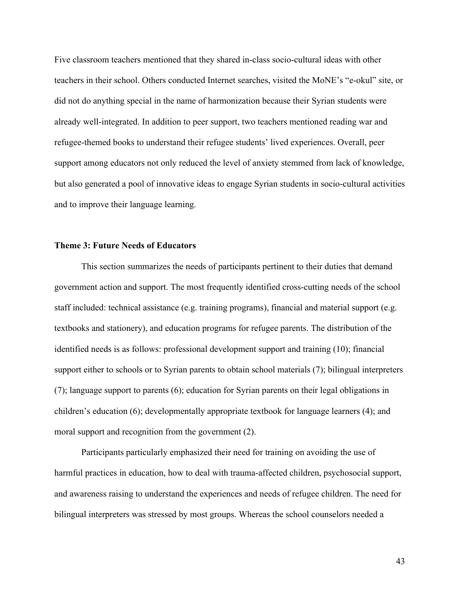Five classroom teachers mentioned that they shared in-class socio-cultural ideas with other teachers in their school. Others conducted Internet searches, visited the MoNE's "e-okul" site, or did not do anything special in the name of harmonization because their Syrian students were already well-integrated. In addition to peer support, two teachers mentioned reading war and refugee-themed books to understand their refugee students' lived experiences. Overall, peer support among educators not only reduced the level of anxiety stemmed from lack of knowledge, but also generated a pool of innovative ideas to engage Syrian students in socio-cultural activities and to improve their language learning.

#### **Theme 3: Future Needs of Educators**

This section summarizes the needs of participants pertinent to their duties that demand government action and support. The most frequently identified cross-cutting needs of the school staff included: technical assistance (e.g. training programs), financial and material support (e.g. textbooks and stationery), and education programs for refugee parents. The distribution of the identified needs is as follows: professional development support and training (10); financial support either to schools or to Syrian parents to obtain school materials (7); bilingual interpreters (7); language support to parents (6); education for Syrian parents on their legal obligations in children's education (6); developmentally appropriate textbook for language learners (4); and moral support and recognition from the government (2).

Participants particularly emphasized their need for training on avoiding the use of harmful practices in education, how to deal with trauma-affected children, psychosocial support, and awareness raising to understand the experiences and needs of refugee children. The need for bilingual interpreters was stressed by most groups. Whereas the school counselors needed a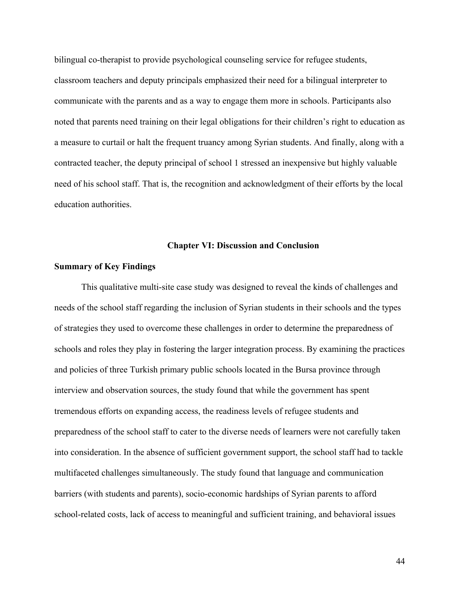bilingual co-therapist to provide psychological counseling service for refugee students, classroom teachers and deputy principals emphasized their need for a bilingual interpreter to communicate with the parents and as a way to engage them more in schools. Participants also noted that parents need training on their legal obligations for their children's right to education as a measure to curtail or halt the frequent truancy among Syrian students. And finally, along with a contracted teacher, the deputy principal of school 1 stressed an inexpensive but highly valuable need of his school staff. That is, the recognition and acknowledgment of their efforts by the local education authorities.

#### **Chapter VI: Discussion and Conclusion**

#### **Summary of Key Findings**

This qualitative multi-site case study was designed to reveal the kinds of challenges and needs of the school staff regarding the inclusion of Syrian students in their schools and the types of strategies they used to overcome these challenges in order to determine the preparedness of schools and roles they play in fostering the larger integration process. By examining the practices and policies of three Turkish primary public schools located in the Bursa province through interview and observation sources, the study found that while the government has spent tremendous efforts on expanding access, the readiness levels of refugee students and preparedness of the school staff to cater to the diverse needs of learners were not carefully taken into consideration. In the absence of sufficient government support, the school staff had to tackle multifaceted challenges simultaneously. The study found that language and communication barriers (with students and parents), socio-economic hardships of Syrian parents to afford school-related costs, lack of access to meaningful and sufficient training, and behavioral issues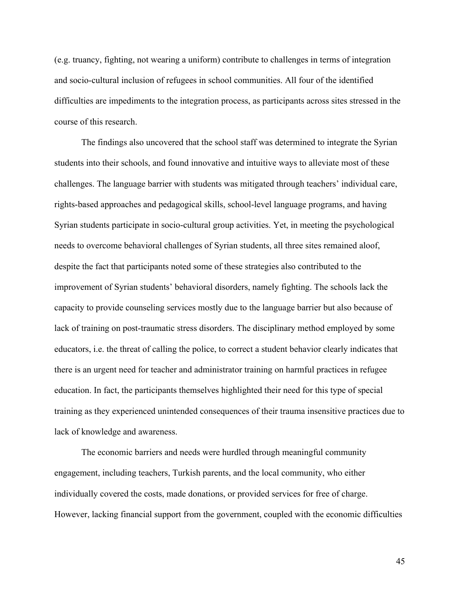(e.g. truancy, fighting, not wearing a uniform) contribute to challenges in terms of integration and socio-cultural inclusion of refugees in school communities. All four of the identified difficulties are impediments to the integration process, as participants across sites stressed in the course of this research.

The findings also uncovered that the school staff was determined to integrate the Syrian students into their schools, and found innovative and intuitive ways to alleviate most of these challenges. The language barrier with students was mitigated through teachers' individual care, rights-based approaches and pedagogical skills, school-level language programs, and having Syrian students participate in socio-cultural group activities. Yet, in meeting the psychological needs to overcome behavioral challenges of Syrian students, all three sites remained aloof, despite the fact that participants noted some of these strategies also contributed to the improvement of Syrian students' behavioral disorders, namely fighting. The schools lack the capacity to provide counseling services mostly due to the language barrier but also because of lack of training on post-traumatic stress disorders. The disciplinary method employed by some educators, i.e. the threat of calling the police, to correct a student behavior clearly indicates that there is an urgent need for teacher and administrator training on harmful practices in refugee education. In fact, the participants themselves highlighted their need for this type of special training as they experienced unintended consequences of their trauma insensitive practices due to lack of knowledge and awareness.

The economic barriers and needs were hurdled through meaningful community engagement, including teachers, Turkish parents, and the local community, who either individually covered the costs, made donations, or provided services for free of charge. However, lacking financial support from the government, coupled with the economic difficulties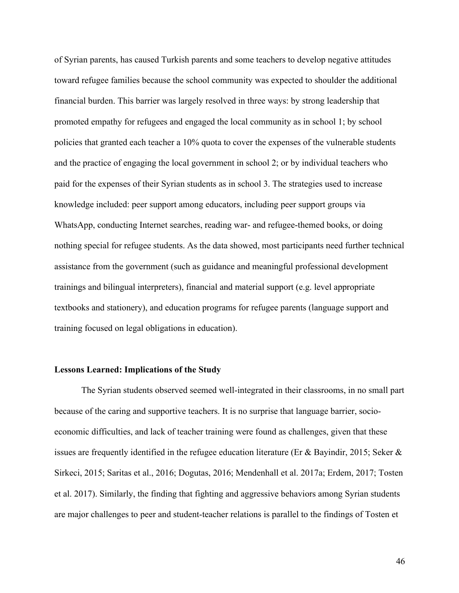of Syrian parents, has caused Turkish parents and some teachers to develop negative attitudes toward refugee families because the school community was expected to shoulder the additional financial burden. This barrier was largely resolved in three ways: by strong leadership that promoted empathy for refugees and engaged the local community as in school 1; by school policies that granted each teacher a 10% quota to cover the expenses of the vulnerable students and the practice of engaging the local government in school 2; or by individual teachers who paid for the expenses of their Syrian students as in school 3. The strategies used to increase knowledge included: peer support among educators, including peer support groups via WhatsApp, conducting Internet searches, reading war- and refugee-themed books, or doing nothing special for refugee students. As the data showed, most participants need further technical assistance from the government (such as guidance and meaningful professional development trainings and bilingual interpreters), financial and material support (e.g. level appropriate textbooks and stationery), and education programs for refugee parents (language support and training focused on legal obligations in education).

#### **Lessons Learned: Implications of the Study**

The Syrian students observed seemed well-integrated in their classrooms, in no small part because of the caring and supportive teachers. It is no surprise that language barrier, socioeconomic difficulties, and lack of teacher training were found as challenges, given that these issues are frequently identified in the refugee education literature (Er & Bayindir, 2015; Seker & Sirkeci, 2015; Saritas et al., 2016; Dogutas, 2016; Mendenhall et al. 2017a; Erdem, 2017; Tosten et al. 2017). Similarly, the finding that fighting and aggressive behaviors among Syrian students are major challenges to peer and student-teacher relations is parallel to the findings of Tosten et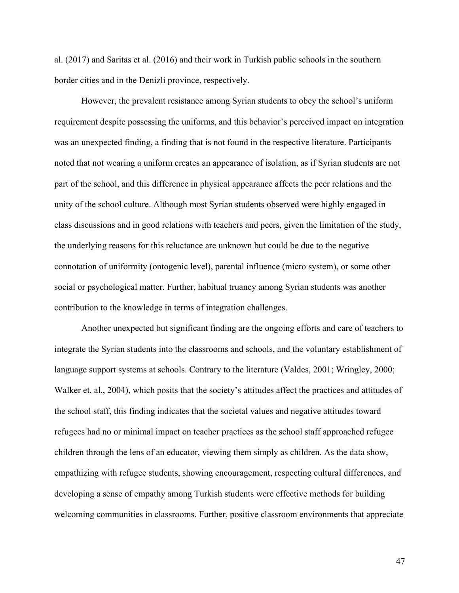al. (2017) and Saritas et al. (2016) and their work in Turkish public schools in the southern border cities and in the Denizli province, respectively.

However, the prevalent resistance among Syrian students to obey the school's uniform requirement despite possessing the uniforms, and this behavior's perceived impact on integration was an unexpected finding, a finding that is not found in the respective literature. Participants noted that not wearing a uniform creates an appearance of isolation, as if Syrian students are not part of the school, and this difference in physical appearance affects the peer relations and the unity of the school culture. Although most Syrian students observed were highly engaged in class discussions and in good relations with teachers and peers, given the limitation of the study, the underlying reasons for this reluctance are unknown but could be due to the negative connotation of uniformity (ontogenic level), parental influence (micro system), or some other social or psychological matter. Further, habitual truancy among Syrian students was another contribution to the knowledge in terms of integration challenges.

Another unexpected but significant finding are the ongoing efforts and care of teachers to integrate the Syrian students into the classrooms and schools, and the voluntary establishment of language support systems at schools. Contrary to the literature (Valdes, 2001; Wringley, 2000; Walker et. al., 2004), which posits that the society's attitudes affect the practices and attitudes of the school staff, this finding indicates that the societal values and negative attitudes toward refugees had no or minimal impact on teacher practices as the school staff approached refugee children through the lens of an educator, viewing them simply as children. As the data show, empathizing with refugee students, showing encouragement, respecting cultural differences, and developing a sense of empathy among Turkish students were effective methods for building welcoming communities in classrooms. Further, positive classroom environments that appreciate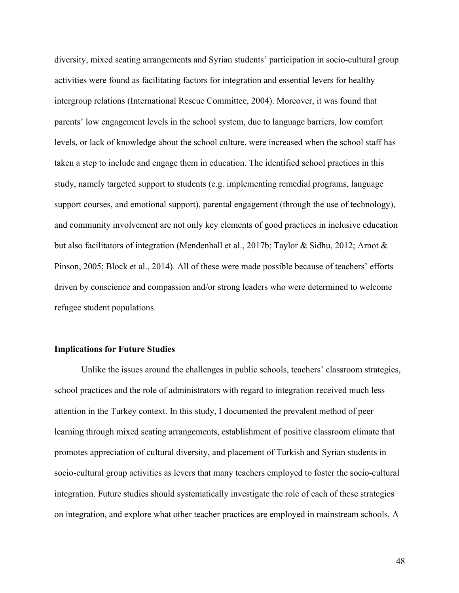diversity, mixed seating arrangements and Syrian students' participation in socio-cultural group activities were found as facilitating factors for integration and essential levers for healthy intergroup relations (International Rescue Committee, 2004). Moreover, it was found that parents' low engagement levels in the school system, due to language barriers, low comfort levels, or lack of knowledge about the school culture, were increased when the school staff has taken a step to include and engage them in education. The identified school practices in this study, namely targeted support to students (e.g. implementing remedial programs, language support courses, and emotional support), parental engagement (through the use of technology), and community involvement are not only key elements of good practices in inclusive education but also facilitators of integration (Mendenhall et al., 2017b; Taylor & Sidhu, 2012; Arnot & Pinson, 2005; Block et al., 2014). All of these were made possible because of teachers' efforts driven by conscience and compassion and/or strong leaders who were determined to welcome refugee student populations.

#### **Implications for Future Studies**

Unlike the issues around the challenges in public schools, teachers' classroom strategies, school practices and the role of administrators with regard to integration received much less attention in the Turkey context. In this study, I documented the prevalent method of peer learning through mixed seating arrangements, establishment of positive classroom climate that promotes appreciation of cultural diversity, and placement of Turkish and Syrian students in socio-cultural group activities as levers that many teachers employed to foster the socio-cultural integration. Future studies should systematically investigate the role of each of these strategies on integration, and explore what other teacher practices are employed in mainstream schools. A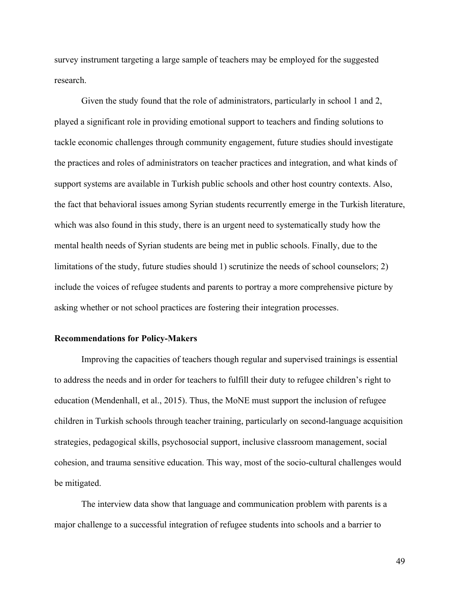survey instrument targeting a large sample of teachers may be employed for the suggested research.

Given the study found that the role of administrators, particularly in school 1 and 2, played a significant role in providing emotional support to teachers and finding solutions to tackle economic challenges through community engagement, future studies should investigate the practices and roles of administrators on teacher practices and integration, and what kinds of support systems are available in Turkish public schools and other host country contexts. Also, the fact that behavioral issues among Syrian students recurrently emerge in the Turkish literature, which was also found in this study, there is an urgent need to systematically study how the mental health needs of Syrian students are being met in public schools. Finally, due to the limitations of the study, future studies should 1) scrutinize the needs of school counselors; 2) include the voices of refugee students and parents to portray a more comprehensive picture by asking whether or not school practices are fostering their integration processes.

#### **Recommendations for Policy-Makers**

Improving the capacities of teachers though regular and supervised trainings is essential to address the needs and in order for teachers to fulfill their duty to refugee children's right to education (Mendenhall, et al., 2015). Thus, the MoNE must support the inclusion of refugee children in Turkish schools through teacher training, particularly on second-language acquisition strategies, pedagogical skills, psychosocial support, inclusive classroom management, social cohesion, and trauma sensitive education. This way, most of the socio-cultural challenges would be mitigated.

The interview data show that language and communication problem with parents is a major challenge to a successful integration of refugee students into schools and a barrier to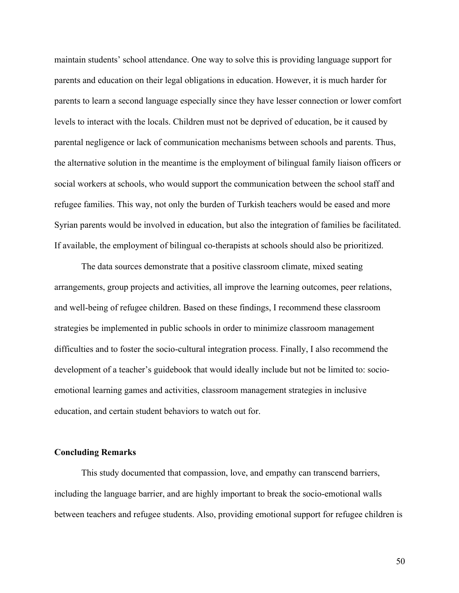maintain students' school attendance. One way to solve this is providing language support for parents and education on their legal obligations in education. However, it is much harder for parents to learn a second language especially since they have lesser connection or lower comfort levels to interact with the locals. Children must not be deprived of education, be it caused by parental negligence or lack of communication mechanisms between schools and parents. Thus, the alternative solution in the meantime is the employment of bilingual family liaison officers or social workers at schools, who would support the communication between the school staff and refugee families. This way, not only the burden of Turkish teachers would be eased and more Syrian parents would be involved in education, but also the integration of families be facilitated. If available, the employment of bilingual co-therapists at schools should also be prioritized.

The data sources demonstrate that a positive classroom climate, mixed seating arrangements, group projects and activities, all improve the learning outcomes, peer relations, and well-being of refugee children. Based on these findings, I recommend these classroom strategies be implemented in public schools in order to minimize classroom management difficulties and to foster the socio-cultural integration process. Finally, I also recommend the development of a teacher's guidebook that would ideally include but not be limited to: socioemotional learning games and activities, classroom management strategies in inclusive education, and certain student behaviors to watch out for.

#### **Concluding Remarks**

This study documented that compassion, love, and empathy can transcend barriers, including the language barrier, and are highly important to break the socio-emotional walls between teachers and refugee students. Also, providing emotional support for refugee children is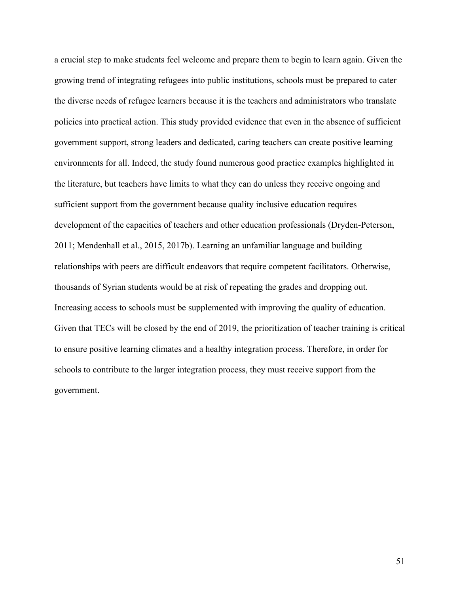a crucial step to make students feel welcome and prepare them to begin to learn again. Given the growing trend of integrating refugees into public institutions, schools must be prepared to cater the diverse needs of refugee learners because it is the teachers and administrators who translate policies into practical action. This study provided evidence that even in the absence of sufficient government support, strong leaders and dedicated, caring teachers can create positive learning environments for all. Indeed, the study found numerous good practice examples highlighted in the literature, but teachers have limits to what they can do unless they receive ongoing and sufficient support from the government because quality inclusive education requires development of the capacities of teachers and other education professionals (Dryden-Peterson, 2011; Mendenhall et al., 2015, 2017b). Learning an unfamiliar language and building relationships with peers are difficult endeavors that require competent facilitators. Otherwise, thousands of Syrian students would be at risk of repeating the grades and dropping out. Increasing access to schools must be supplemented with improving the quality of education. Given that TECs will be closed by the end of 2019, the prioritization of teacher training is critical to ensure positive learning climates and a healthy integration process. Therefore, in order for schools to contribute to the larger integration process, they must receive support from the government.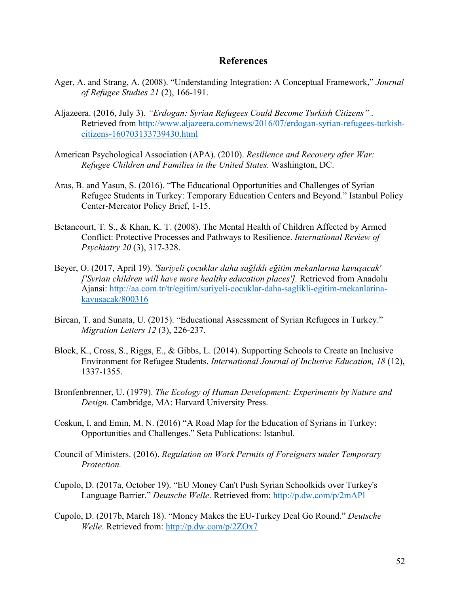## **References**

- Ager, A. and Strang, A. (2008). "Understanding Integration: A Conceptual Framework," *Journal of Refugee Studies 21* (2), 166-191.
- Aljazeera. (2016, July 3). *"Erdogan: Syrian Refugees Could Become Turkish Citizens"* . Retrieved from http://www.aljazeera.com/news/2016/07/erdogan-syrian-refugees-turkishcitizens-160703133739430.html
- American Psychological Association (APA). (2010). *Resilience and Recovery after War: Refugee Children and Families in the United States.* Washington, DC.
- Aras, B. and Yasun, S. (2016). "The Educational Opportunities and Challenges of Syrian Refugee Students in Turkey: Temporary Education Centers and Beyond." Istanbul Policy Center-Mercator Policy Brief, 1-15.
- Betancourt, T. S., & Khan, K. T. (2008). The Mental Health of Children Affected by Armed Conflict: Protective Processes and Pathways to Resilience. *International Review of Psychiatry 20* (3), 317-328.
- Beyer, O. (2017, April 19). *'Suriyeli çocuklar daha sağlıklı eğitim mekanlarına kavuşacak' ['Syrian children will have more healthy education places'].* Retrieved from Anadolu Ajansi: http://aa.com.tr/tr/egitim/suriyeli-cocuklar-daha-saglikli-egitim-mekanlarinakavusacak/800316
- Bircan, T. and Sunata, U. (2015). "Educational Assessment of Syrian Refugees in Turkey." *Migration Letters 12* (3), 226-237.
- Block, K., Cross, S., Riggs, E., & Gibbs, L. (2014). Supporting Schools to Create an Inclusive Environment for Refugee Students. *International Journal of Inclusive Education, 18* (12), 1337-1355.
- Bronfenbrenner, U. (1979). *The Ecology of Human Development: Experiments by Nature and Design.* Cambridge, MA: Harvard University Press.
- Coskun, I. and Emin, M. N. (2016) "A Road Map for the Education of Syrians in Turkey: Opportunities and Challenges." Seta Publications: Istanbul.
- Council of Ministers. (2016). *Regulation on Work Permits of Foreigners under Temporary Protection.*
- Cupolo, D. (2017a, October 19). "EU Money Can't Push Syrian Schoolkids over Turkey's Language Barrier." *Deutsche Welle*. Retrieved from: http://p.dw.com/p/2mAPl
- Cupolo, D. (2017b, March 18). "Money Makes the EU-Turkey Deal Go Round." *Deutsche Welle*. Retrieved from: http://p.dw.com/p/2ZOx7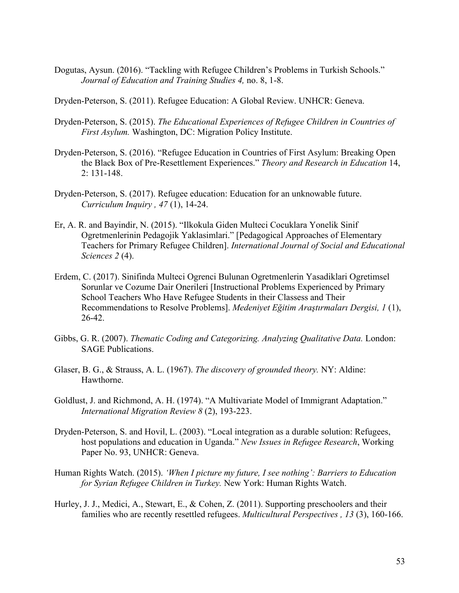Dogutas, Aysun. (2016). "Tackling with Refugee Children's Problems in Turkish Schools." *Journal of Education and Training Studies 4,* no. 8, 1-8.

Dryden-Peterson, S. (2011). Refugee Education: A Global Review. UNHCR: Geneva.

- Dryden-Peterson, S. (2015). *The Educational Experiences of Refugee Children in Countries of First Asylum.* Washington, DC: Migration Policy Institute.
- Dryden-Peterson, S. (2016). "Refugee Education in Countries of First Asylum: Breaking Open the Black Box of Pre-Resettlement Experiences." *Theory and Research in Education* 14, 2: 131-148.
- Dryden-Peterson, S. (2017). Refugee education: Education for an unknowable future. *Curriculum Inquiry , 47* (1), 14-24.
- Er, A. R. and Bayindir, N. (2015). "Ilkokula Giden Multeci Cocuklara Yonelik Sinif Ogretmenlerinin Pedagojik Yaklasimlari." [Pedagogical Approaches of Elementary Teachers for Primary Refugee Children]. *International Journal of Social and Educational Sciences 2* (4).
- Erdem, C. (2017). Sinifinda Multeci Ogrenci Bulunan Ogretmenlerin Yasadiklari Ogretimsel Sorunlar ve Cozume Dair Onerileri [Instructional Problems Experienced by Primary School Teachers Who Have Refugee Students in their Classess and Their Recommendations to Resolve Problems]. *Medeniyet Eğitim Araştırmaları Dergisi, 1* (1), 26-42.
- Gibbs, G. R. (2007). *Thematic Coding and Categorizing. Analyzing Qualitative Data.* London: SAGE Publications.
- Glaser, B. G., & Strauss, A. L. (1967). *The discovery of grounded theory.* NY: Aldine: Hawthorne.
- Goldlust, J. and Richmond, A. H. (1974). "A Multivariate Model of Immigrant Adaptation." *International Migration Review 8* (2), 193-223.
- Dryden-Peterson, S. and Hovil, L. (2003). "Local integration as a durable solution: Refugees, host populations and education in Uganda." *New Issues in Refugee Research*, Working Paper No. 93, UNHCR: Geneva.
- Human Rights Watch. (2015). *'When I picture my future, I see nothing': Barriers to Education for Syrian Refugee Children in Turkey.* New York: Human Rights Watch.
- Hurley, J. J., Medici, A., Stewart, E., & Cohen, Z. (2011). Supporting preschoolers and their families who are recently resettled refugees. *Multicultural Perspectives , 13* (3), 160-166.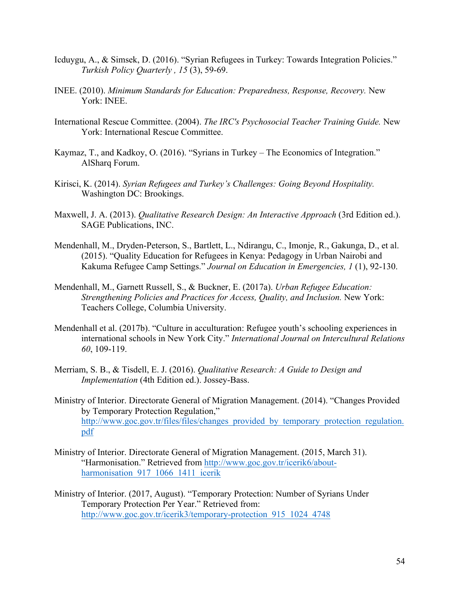- Icduygu, A., & Simsek, D. (2016). "Syrian Refugees in Turkey: Towards Integration Policies." *Turkish Policy Quarterly , 15* (3), 59-69.
- INEE. (2010). *Minimum Standards for Education: Preparedness, Response, Recovery.* New York: INEE.
- International Rescue Committee. (2004). *The IRC's Psychosocial Teacher Training Guide.* New York: International Rescue Committee.
- Kaymaz, T., and Kadkoy, O. (2016). "Syrians in Turkey The Economics of Integration." AlSharq Forum.
- Kirisci, K. (2014). *Syrian Refugees and Turkey's Challenges: Going Beyond Hospitality.* Washington DC: Brookings.
- Maxwell, J. A. (2013). *Qualitative Research Design: An Interactive Approach* (3rd Edition ed.). SAGE Publications, INC.
- Mendenhall, M., Dryden-Peterson, S., Bartlett, L., Ndirangu, C., Imonje, R., Gakunga, D., et al. (2015). "Quality Education for Refugees in Kenya: Pedagogy in Urban Nairobi and Kakuma Refugee Camp Settings." *Journal on Education in Emergencies, 1* (1), 92-130.
- Mendenhall, M., Garnett Russell, S., & Buckner, E. (2017a). *Urban Refugee Education: Strengthening Policies and Practices for Access, Quality, and Inclusion.* New York: Teachers College, Columbia University.
- Mendenhall et al. (2017b). "Culture in acculturation: Refugee youth's schooling experiences in international schools in New York City." *International Journal on Intercultural Relations 60*, 109-119.
- Merriam, S. B., & Tisdell, E. J. (2016). *Qualitative Research: A Guide to Design and Implementation* (4th Edition ed.). Jossey-Bass.
- Ministry of Interior. Directorate General of Migration Management. (2014). "Changes Provided by Temporary Protection Regulation," http://www.goc.gov.tr/files/files/changes\_provided\_by\_temporary\_protection\_regulation. pdf
- Ministry of Interior. Directorate General of Migration Management. (2015, March 31). "Harmonisation." Retrieved from http://www.goc.gov.tr/icerik6/aboutharmonisation 917 1066 1411 icerik
- Ministry of Interior. (2017, August). "Temporary Protection: Number of Syrians Under Temporary Protection Per Year." Retrieved from: http://www.goc.gov.tr/icerik3/temporary-protection\_915\_1024\_4748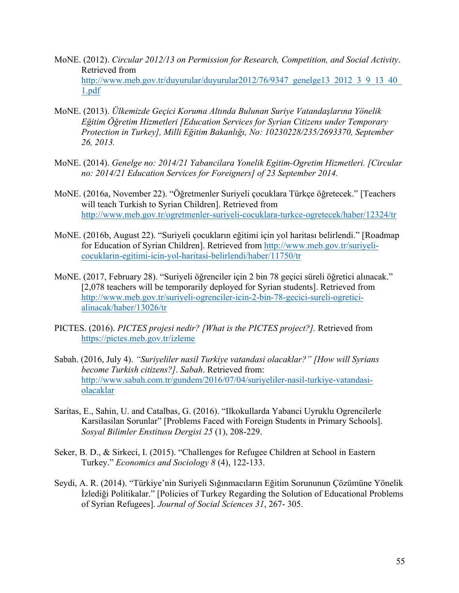- MoNE. (2012). *Circular 2012/13 on Permission for Research, Competition, and Social Activity*. Retrieved from http://www.meb.gov.tr/duyurular/duyurular2012/76/9347\_genelge13\_2012\_3\_9\_13\_40\_ 1.pdf
- MoNE. (2013). *Ülkemizde Geçici Koruma Altında Bulunan Suriye Vatandaşlarına Yönelik Eğitim Öğretim Hizmetleri [Education Services for Syrian Citizens under Temporary Protection in Turkey], Milli Eğitim Bakanlığı, No: 10230228/235/2693370, September 26, 2013.*
- MoNE. (2014). *Genelge no: 2014/21 Yabancilara Yonelik Egitim-Ogretim Hizmetleri. [Circular no: 2014/21 Education Services for Foreigners] of 23 September 2014.*
- MoNE. (2016a, November 22). "Öğretmenler Suriyeli çocuklara Türkçe öğretecek." [Teachers will teach Turkish to Syrian Children]. Retrieved from http://www.meb.gov.tr/ogretmenler-suriyeli-cocuklara-turkce-ogretecek/haber/12324/tr
- MoNE. (2016b, August 22). "Suriyeli çocukların eğitimi için yol haritası belirlendi." [Roadmap for Education of Syrian Children]. Retrieved from http://www.meb.gov.tr/suriyelicocuklarin-egitimi-icin-yol-haritasi-belirlendi/haber/11750/tr
- MoNE. (2017, February 28). "Suriyeli öğrenciler için 2 bin 78 geçici süreli öğretici alınacak." [2,078 teachers will be temporarily deployed for Syrian students]. Retrieved from http://www.meb.gov.tr/suriyeli-ogrenciler-icin-2-bin-78-gecici-sureli-ogreticialinacak/haber/13026/tr
- PICTES. (2016). *PICTES projesi nedir? [What is the PICTES project?].* Retrieved from https://pictes.meb.gov.tr/izleme
- Sabah. (2016, July 4). *"Suriyeliler nasil Turkiye vatandasi olacaklar?" [How will Syrians become Turkish citizens?]*. *Sabah*. Retrieved from: http://www.sabah.com.tr/gundem/2016/07/04/suriyeliler-nasil-turkiye-vatandasiolacaklar
- Saritas, E., Sahin, U. and Catalbas, G. (2016). "Ilkokullarda Yabanci Uyruklu Ogrencilerle Karsilasilan Sorunlar" [Problems Faced with Foreign Students in Primary Schools]. *Sosyal Bilimler Enstitusu Dergisi 25* (1), 208-229.
- Seker, B. D., & Sirkeci, I. (2015). "Challenges for Refugee Children at School in Eastern Turkey." *Economics and Sociology 8* (4), 122-133.
- Seydi, A. R. (2014). "Türkiye'nin Suriyeli Sığınmacıların Eğitim Sorununun Çözümüne Yönelik İzlediği Politikalar." [Policies of Turkey Regarding the Solution of Educational Problems of Syrian Refugees]. *Journal of Social Sciences 31*, 267- 305.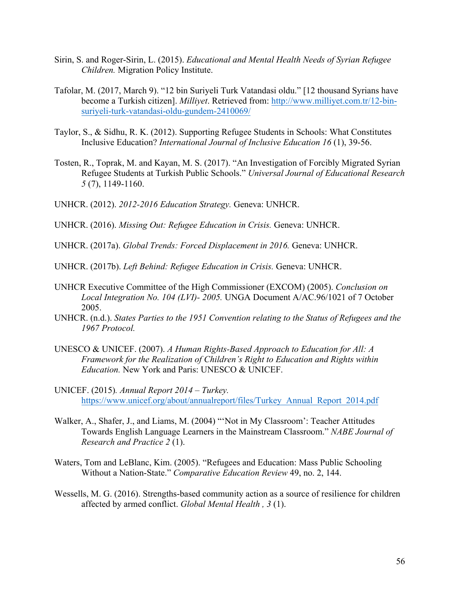- Sirin, S. and Roger-Sirin, L. (2015). *Educational and Mental Health Needs of Syrian Refugee Children.* Migration Policy Institute.
- Tafolar, M. (2017, March 9). "12 bin Suriyeli Turk Vatandasi oldu." [12 thousand Syrians have become a Turkish citizen]. *Milliyet*. Retrieved from: http://www.milliyet.com.tr/12-binsuriyeli-turk-vatandasi-oldu-gundem-2410069/
- Taylor, S., & Sidhu, R. K. (2012). Supporting Refugee Students in Schools: What Constitutes Inclusive Education? *International Journal of Inclusive Education 16* (1), 39-56.
- Tosten, R., Toprak, M. and Kayan, M. S. (2017). "An Investigation of Forcibly Migrated Syrian Refugee Students at Turkish Public Schools." *Universal Journal of Educational Research 5* (7), 1149-1160.

UNHCR. (2012). *2012-2016 Education Strategy.* Geneva: UNHCR.

UNHCR. (2016). *Missing Out: Refugee Education in Crisis.* Geneva: UNHCR.

UNHCR. (2017a). *Global Trends: Forced Displacement in 2016.* Geneva: UNHCR.

UNHCR. (2017b). *Left Behind: Refugee Education in Crisis.* Geneva: UNHCR.

- UNHCR Executive Committee of the High Commissioner (EXCOM) (2005). *Conclusion on Local Integration No. 104 (LVI)- 2005.* UNGA Document A/AC.96/1021 of 7 October 2005.
- UNHCR. (n.d.). *States Parties to the 1951 Convention relating to the Status of Refugees and the 1967 Protocol.*
- UNESCO & UNICEF. (2007). *A Human Rights-Based Approach to Education for All: A Framework for the Realization of Children's Right to Education and Rights within Education.* New York and Paris: UNESCO & UNICEF.
- UNICEF. (2015)*. Annual Report 2014 – Turkey.* https://www.unicef.org/about/annualreport/files/Turkey\_Annual\_Report\_2014.pdf
- Walker, A., Shafer, J., and Liams, M. (2004) "'Not in My Classroom': Teacher Attitudes Towards English Language Learners in the Mainstream Classroom." *NABE Journal of Research and Practice 2* (1).
- Waters, Tom and LeBlanc, Kim. (2005). "Refugees and Education: Mass Public Schooling Without a Nation-State." *Comparative Education Review* 49, no. 2, 144.
- Wessells, M. G. (2016). Strengths-based community action as a source of resilience for children affected by armed conflict. *Global Mental Health , 3* (1).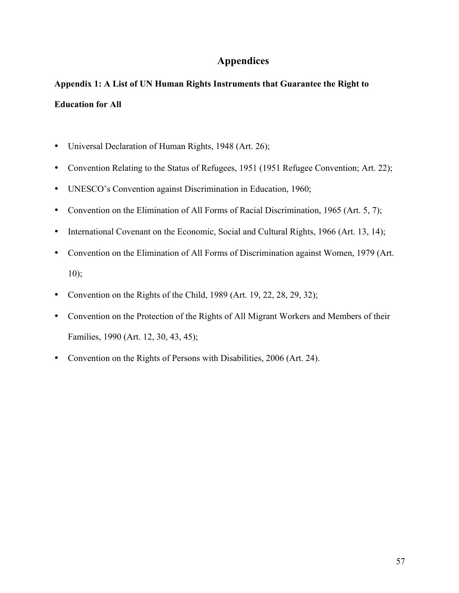# **Appendices**

# **Appendix 1: A List of UN Human Rights Instruments that Guarantee the Right to Education for All**

- Universal Declaration of Human Rights, 1948 (Art. 26);
- Convention Relating to the Status of Refugees, 1951 (1951 Refugee Convention; Art. 22);
- UNESCO's Convention against Discrimination in Education, 1960;
- Convention on the Elimination of All Forms of Racial Discrimination, 1965 (Art. 5, 7);
- International Covenant on the Economic, Social and Cultural Rights, 1966 (Art. 13, 14);
- Convention on the Elimination of All Forms of Discrimination against Women, 1979 (Art. 10);
- Convention on the Rights of the Child, 1989 (Art. 19, 22, 28, 29, 32);
- Convention on the Protection of the Rights of All Migrant Workers and Members of their Families, 1990 (Art. 12, 30, 43, 45);
- Convention on the Rights of Persons with Disabilities, 2006 (Art. 24).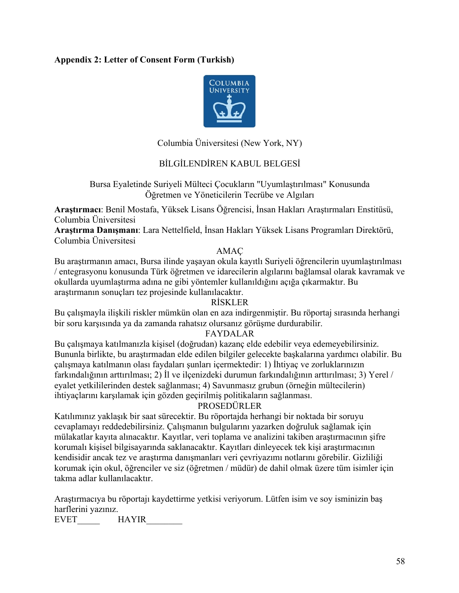## **Appendix 2: Letter of Consent Form (Turkish)**



Columbia Üniversitesi (New York, NY)

## BİLGİLENDİREN KABUL BELGESİ

Bursa Eyaletinde Suriyeli Mülteci Çocukların "Uyumlaştırılması" Konusunda Öğretmen ve Yöneticilerin Tecrübe ve Algıları

**Araştırmacı**: Benil Mostafa, Yüksek Lisans Öğrencisi, İnsan Hakları Araştırmaları Enstitüsü, Columbia Üniversitesi

**Araştırma Danışmanı**: Lara Nettelfield, İnsan Hakları Yüksek Lisans Programları Direktörü, Columbia Üniversitesi

## AMAÇ

Bu araştırmanın amacı, Bursa ilinde yaşayan okula kayıtlı Suriyeli öğrencilerin uyumlaştırılması / entegrasyonu konusunda Türk öğretmen ve idarecilerin algılarını bağlamsal olarak kavramak ve okullarda uyumlaştırma adına ne gibi yöntemler kullanıldığını açığa çıkarmaktır. Bu araştırmanın sonuçları tez projesinde kullanılacaktır.

## RİSKLER

Bu çalışmayla ilişkili riskler mümkün olan en aza indirgenmiştir. Bu röportaj sırasında herhangi bir soru karşısında ya da zamanda rahatsız olursanız görüşme durdurabilir.

## FAYDALAR

Bu çalışmaya katılmanızla kişisel (doğrudan) kazanç elde edebilir veya edemeyebilirsiniz. Bununla birlikte, bu araştırmadan elde edilen bilgiler gelecekte başkalarına yardımcı olabilir. Bu çalışmaya katılmanın olası faydaları şunları içermektedir: 1) İhtiyaç ve zorluklarınızın farkındalığının arttırılması; 2) İl ve ilçenizdeki durumun farkındalığının arttırılması; 3) Yerel / eyalet yetkililerinden destek sağlanması; 4) Savunmasız grubun (örneğin mültecilerin) ihtiyaçlarını karşılamak için gözden geçirilmiş politikaların sağlanması.

## PROSEDÜRLER

Katılımınız yaklaşık bir saat sürecektir. Bu röportajda herhangi bir noktada bir soruyu cevaplamayı reddedebilirsiniz. Çalışmanın bulgularını yazarken doğruluk sağlamak için mülakatlar kayıta alınacaktır. Kayıtlar, veri toplama ve analizini takiben araştırmacının şifre korumalı kişisel bilgisayarında saklanacaktır. Kayıtları dinleyecek tek kişi araştırmacının kendisidir ancak tez ve araştırma danışmanları veri çevriyazımı notlarını görebilir. Gizliliği korumak için okul, öğrenciler ve siz (öğretmen / müdür) de dahil olmak üzere tüm isimler için takma adlar kullanılacaktır.

Araştırmacıya bu röportajı kaydettirme yetkisi veriyorum. Lütfen isim ve soy isminizin baş harflerini yazınız.

EVET HAYIR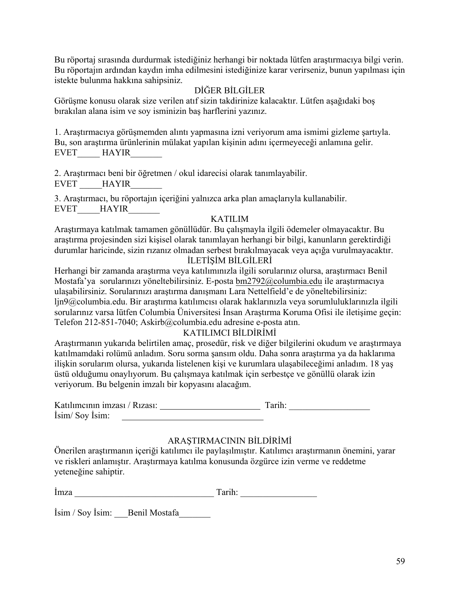Bu röportaj sırasında durdurmak istediğiniz herhangi bir noktada lütfen araştırmacıya bilgi verin. Bu röportajın ardından kaydın imha edilmesini istediğinize karar verirseniz, bunun yapılması için istekte bulunma hakkına sahipsiniz.

## DİĞER BİLGİLER

Görüşme konusu olarak size verilen atıf sizin takdirinize kalacaktır. Lütfen aşağıdaki boş bırakılan alana isim ve soy isminizin baş harflerini yazınız.

1. Araştırmacıya görüşmemden alıntı yapmasına izni veriyorum ama ismimi gizleme şartıyla. Bu, son araştırma ürünlerinin mülakat yapılan kişinin adını içermeyeceği anlamına gelir. EVET HAYIR

2. Araştırmacı beni bir öğretmen / okul idarecisi olarak tanımlayabilir. EVET HAYIR

3. Araştırmacı, bu röportajın içeriğini yalnızca arka plan amaçlarıyla kullanabilir. EVET HAYIR

## KATILIM

Araştırmaya katılmak tamamen gönüllüdür. Bu çalışmayla ilgili ödemeler olmayacaktır. Bu araştırma projesinden sizi kişisel olarak tanımlayan herhangi bir bilgi, kanunların gerektirdiği durumlar haricinde, sizin rızanız olmadan serbest bırakılmayacak veya açığa vurulmayacaktır.

# İLETİŞİM BİLGİLERİ

Herhangi bir zamanda araştırma veya katılımınızla ilgili sorularınız olursa, araştırmacı Benil Mostafa'ya sorularınızı yöneltebilirsiniz. E-posta bm2792@columbia.edu ile araştırmacıya ulaşabilirsiniz. Sorularınızı araştırma danışmanı Lara Nettelfield'e de yöneltebilirsiniz: ljn9@columbia.edu. Bir araştırma katılımcısı olarak haklarınızla veya sorumluluklarınızla ilgili sorularınız varsa lütfen Columbia Üniversitesi İnsan Araştırma Koruma Ofisi ile iletişime geçin: Telefon 212-851-7040; Askirb@columbia.edu adresine e-posta atın.

## KATILIMCI BİLDİRİMİ

Araştırmanın yukarıda belirtilen amaç, prosedür, risk ve diğer bilgilerini okudum ve araştırmaya katılmamdaki rolümü anladım. Soru sorma şansım oldu. Daha sonra araştırma ya da haklarıma ilişkin sorularım olursa, yukarıda listelenen kişi ve kurumlara ulaşabileceğimi anladım. 18 yaş üstü olduğumu onaylıyorum. Bu çalışmaya katılmak için serbestçe ve gönüllü olarak izin veriyorum. Bu belgenin imzalı bir kopyasını alacağım.

| Katılımcının imzası / Rızası: | Tarih: |  |
|-------------------------------|--------|--|
| İsim/Soy İsim:                |        |  |

# ARAŞTIRMACININ BİLDİRİMİ

Önerilen araştırmanın içeriği katılımcı ile paylaşılmıştır. Katılımcı araştırmanın önemini, yarar ve riskleri anlamıştır. Araştırmaya katılma konusunda özgürce izin verme ve reddetme yeteneğine sahiptir.

İmza \_\_\_\_\_\_\_\_\_\_\_\_\_\_\_\_\_\_\_\_\_\_\_\_\_\_\_\_\_\_\_ Tarih: \_\_\_\_\_\_\_\_\_\_\_\_\_\_\_\_\_

İsim / Soy İsim: Benil Mostafa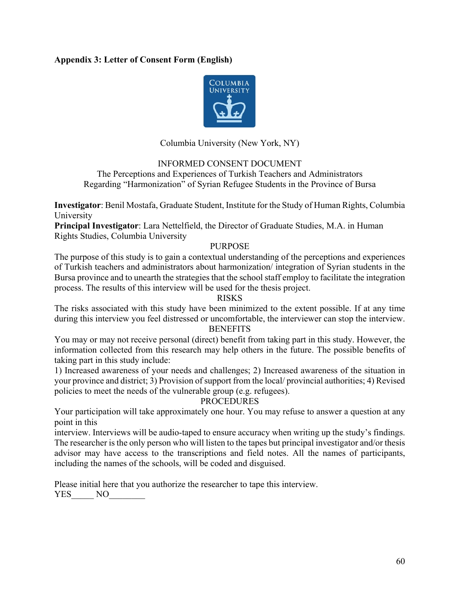## **Appendix 3: Letter of Consent Form (English)**



Columbia University (New York, NY)

INFORMED CONSENT DOCUMENT

The Perceptions and Experiences of Turkish Teachers and Administrators Regarding "Harmonization" of Syrian Refugee Students in the Province of Bursa

**Investigator**: Benil Mostafa, Graduate Student, Institute for the Study of Human Rights, Columbia **University** 

**Principal Investigator**: Lara Nettelfield, the Director of Graduate Studies, M.A. in Human Rights Studies, Columbia University

## PURPOSE

The purpose of this study is to gain a contextual understanding of the perceptions and experiences of Turkish teachers and administrators about harmonization/ integration of Syrian students in the Bursa province and to unearth the strategies that the school staff employ to facilitate the integration process. The results of this interview will be used for the thesis project.

RISKS

The risks associated with this study have been minimized to the extent possible. If at any time during this interview you feel distressed or uncomfortable, the interviewer can stop the interview. **BENEFITS** 

You may or may not receive personal (direct) benefit from taking part in this study. However, the information collected from this research may help others in the future. The possible benefits of taking part in this study include:

1) Increased awareness of your needs and challenges; 2) Increased awareness of the situation in your province and district; 3) Provision of support from the local/ provincial authorities; 4) Revised policies to meet the needs of the vulnerable group (e.g. refugees).

## PROCEDURES

Your participation will take approximately one hour. You may refuse to answer a question at any point in this

interview. Interviews will be audio-taped to ensure accuracy when writing up the study's findings. The researcher is the only person who will listen to the tapes but principal investigator and/or thesis advisor may have access to the transcriptions and field notes. All the names of participants, including the names of the schools, will be coded and disguised.

Please initial here that you authorize the researcher to tape this interview.

YES NO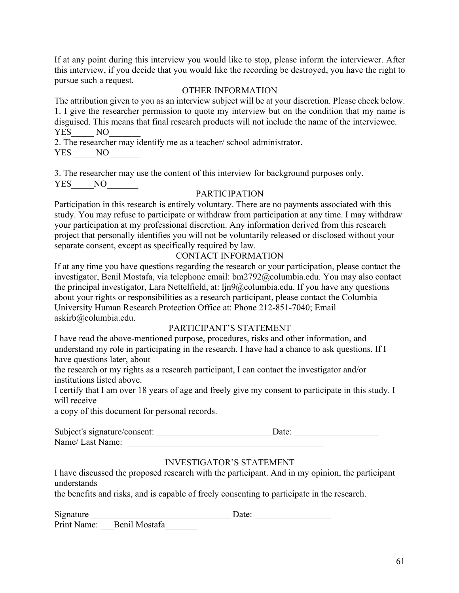If at any point during this interview you would like to stop, please inform the interviewer. After this interview, if you decide that you would like the recording be destroyed, you have the right to pursue such a request.

## OTHER INFORMATION

The attribution given to you as an interview subject will be at your discretion. Please check below. 1. I give the researcher permission to quote my interview but on the condition that my name is disguised. This means that final research products will not include the name of the interviewee. YES NO

2. The researcher may identify me as a teacher/ school administrator.

YES NO

3. The researcher may use the content of this interview for background purposes only. YES NO

## PARTICIPATION

Participation in this research is entirely voluntary. There are no payments associated with this study. You may refuse to participate or withdraw from participation at any time. I may withdraw your participation at my professional discretion. Any information derived from this research project that personally identifies you will not be voluntarily released or disclosed without your separate consent, except as specifically required by law.

## CONTACT INFORMATION

If at any time you have questions regarding the research or your participation, please contact the investigator, Benil Mostafa, via telephone email: bm2792@columbia.edu. You may also contact the principal investigator, Lara Nettelfield, at: ljn9@columbia.edu. If you have any questions about your rights or responsibilities as a research participant, please contact the Columbia University Human Research Protection Office at: Phone 212-851-7040; Email askirb@columbia.edu.

## PARTICIPANT'S STATEMENT

I have read the above-mentioned purpose, procedures, risks and other information, and understand my role in participating in the research. I have had a chance to ask questions. If I have questions later, about

the research or my rights as a research participant, I can contact the investigator and/or institutions listed above.

I certify that I am over 18 years of age and freely give my consent to participate in this study. I will receive

a copy of this document for personal records.

| Subject's signature/consent: | Date: |  |
|------------------------------|-------|--|
| Name/Last Name:              |       |  |

## INVESTIGATOR'S STATEMENT

I have discussed the proposed research with the participant. And in my opinion, the participant understands

the benefits and risks, and is capable of freely consenting to participate in the research.

| Signature |                           | Date: |  |
|-----------|---------------------------|-------|--|
|           | Print Name: Benil Mostafa |       |  |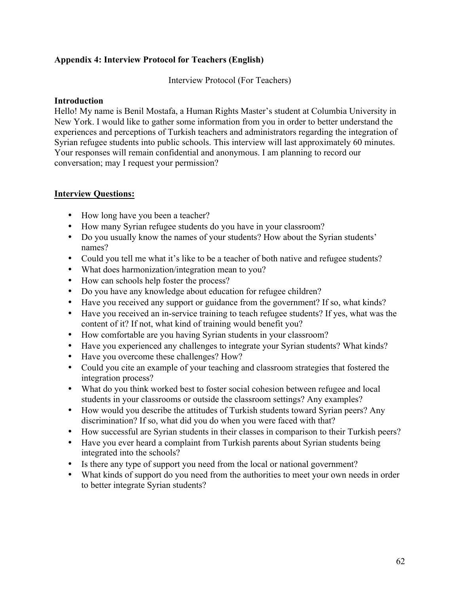## **Appendix 4: Interview Protocol for Teachers (English)**

Interview Protocol (For Teachers)

## **Introduction**

Hello! My name is Benil Mostafa, a Human Rights Master's student at Columbia University in New York. I would like to gather some information from you in order to better understand the experiences and perceptions of Turkish teachers and administrators regarding the integration of Syrian refugee students into public schools. This interview will last approximately 60 minutes. Your responses will remain confidential and anonymous. I am planning to record our conversation; may I request your permission?

## **Interview Questions:**

- How long have you been a teacher?
- How many Syrian refugee students do you have in your classroom?
- Do you usually know the names of your students? How about the Syrian students' names?
- Could you tell me what it's like to be a teacher of both native and refugee students?
- What does harmonization/integration mean to you?
- How can schools help foster the process?
- Do you have any knowledge about education for refugee children?
- Have you received any support or guidance from the government? If so, what kinds?
- Have you received an in-service training to teach refugee students? If yes, what was the content of it? If not, what kind of training would benefit you?
- How comfortable are you having Syrian students in your classroom?
- Have you experienced any challenges to integrate your Syrian students? What kinds?
- Have you overcome these challenges? How?
- Could you cite an example of your teaching and classroom strategies that fostered the integration process?
- What do you think worked best to foster social cohesion between refugee and local students in your classrooms or outside the classroom settings? Any examples?
- How would you describe the attitudes of Turkish students toward Syrian peers? Any discrimination? If so, what did you do when you were faced with that?
- How successful are Syrian students in their classes in comparison to their Turkish peers?
- Have you ever heard a complaint from Turkish parents about Syrian students being integrated into the schools?
- Is there any type of support you need from the local or national government?
- What kinds of support do you need from the authorities to meet your own needs in order to better integrate Syrian students?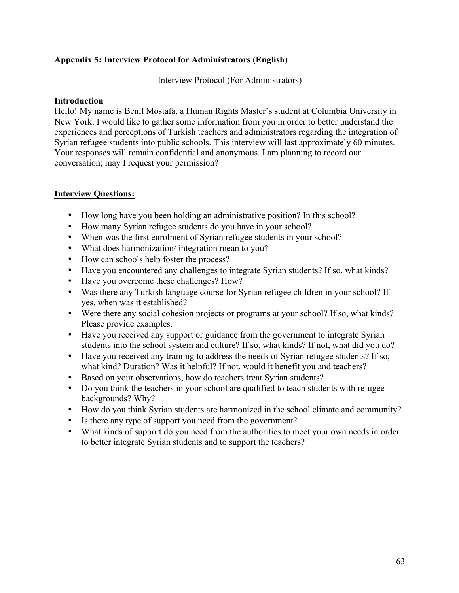## **Appendix 5: Interview Protocol for Administrators (English)**

Interview Protocol (For Administrators)

## **Introduction**

Hello! My name is Benil Mostafa, a Human Rights Master's student at Columbia University in New York. I would like to gather some information from you in order to better understand the experiences and perceptions of Turkish teachers and administrators regarding the integration of Syrian refugee students into public schools. This interview will last approximately 60 minutes. Your responses will remain confidential and anonymous. I am planning to record our conversation; may I request your permission?

## **Interview Questions:**

- How long have you been holding an administrative position? In this school?
- How many Syrian refugee students do you have in your school?
- When was the first enrolment of Syrian refugee students in your school?
- What does harmonization/ integration mean to you?
- How can schools help foster the process?
- Have you encountered any challenges to integrate Syrian students? If so, what kinds?
- Have you overcome these challenges? How?
- Was there any Turkish language course for Syrian refugee children in your school? If yes, when was it established?
- Were there any social cohesion projects or programs at your school? If so, what kinds? Please provide examples.
- Have you received any support or guidance from the government to integrate Syrian students into the school system and culture? If so, what kinds? If not, what did you do?
- Have you received any training to address the needs of Syrian refugee students? If so, what kind? Duration? Was it helpful? If not, would it benefit you and teachers?
- Based on your observations, how do teachers treat Syrian students?
- Do you think the teachers in your school are qualified to teach students with refugee backgrounds? Why?
- How do you think Syrian students are harmonized in the school climate and community?
- Is there any type of support you need from the government?
- What kinds of support do you need from the authorities to meet your own needs in order to better integrate Syrian students and to support the teachers?